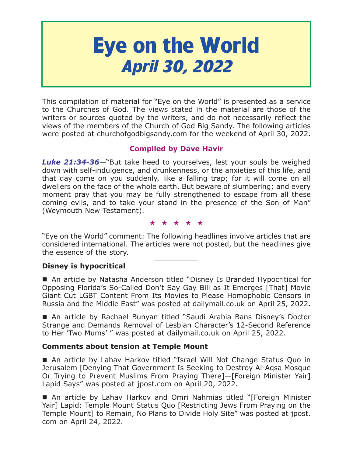# **Eye on the World April 30, 2022**

This compilation of material for "Eye on the World" is presented as a service to the Churches of God. The views stated in the material are those of the writers or sources quoted by the writers, and do not necessarily reflect the views of the members of the Church of God Big Sandy. The following articles were posted at churchofgodbigsandy.com for the weekend of April 30, 2022.

# **Compiled by Dave Havir**

*Luke 21:34-36*—"But take heed to yourselves, lest your souls be weighed down with self-indulgence, and drunkenness, or the anxieties of this life, and that day come on you suddenly, like a falling trap; for it will come on all dwellers on the face of the whole earth. But beware of slumbering; and every moment pray that you may be fully strengthened to escape from all these coming evils, and to take your stand in the presence of the Son of Man" (Weymouth New Testament).

#### ★★★★★

"Eye on the World" comment: The following headlines involve articles that are considered international. The articles were not posted, but the headlines give the essence of the story.

# **Disney is hypocritical**

■ An article by Natasha Anderson titled "Disney Is Branded Hypocritical for Opposing Florida's So-Called Don't Say Gay Bill as It Emerges [That] Movie Giant Cut LGBT Content From Its Movies to Please Homophobic Censors in Russia and the Middle East" was posted at dailymail.co.uk on April 25, 2022.

 An article by Rachael Bunyan titled "Saudi Arabia Bans Disney's Doctor Strange and Demands Removal of Lesbian Character's 12-Second Reference to Her 'Two Mums' " was posted at dailymail.co.uk on April 25, 2022.

# **Comments about tension at Temple Mount**

 An article by Lahav Harkov titled "Israel Will Not Change Status Quo in Jerusalem [Denying That Government Is Seeking to Destroy Al-Aqsa Mosque Or Trying to Prevent Muslims From Praying There]—[Foreign Minister Yair] Lapid Says" was posted at jpost.com on April 20, 2022.

 An article by Lahav Harkov and Omri Nahmias titled "[Foreign Minister Yair] Lapid: Temple Mount Status Quo [Restricting Jews From Praying on the Temple Mount] to Remain, No Plans to Divide Holy Site" was posted at jpost. com on April 24, 2022.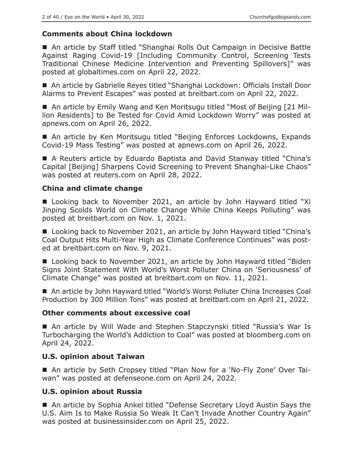# **Comments about China lockdown**

■ An article by Staff titled "Shanghai Rolls Out Campaign in Decisive Battle Against Raging Covid-19 [Including Community Control, Screening Tests Traditional Chinese Medicine Intervention and Preventing Spillovers]" was posted at globaltimes.com on April 22, 2022.

■ An article by Gabrielle Reyes titled "Shanghai Lockdown: Officials Install Door Alarms to Prevent Escapes" was posted at breitbart.com on April 22, 2022.

 An article by Emily Wang and Ken Moritsugu titled "Most of Beijing [21 Million Residents] to Be Tested for Covid Amid Lockdown Worry" was posted at apnews.com on April 26, 2022.

■ An article by Ken Moritsugu titled "Beijing Enforces Lockdowns, Expands Covid-19 Mass Testing" was posted at apnews.com on April 26, 2022.

■ A Reuters article by Eduardo Baptista and David Stanway titled "China's Capital [Beijing] Sharpens Covid Screening to Prevent Shanghai-Like Chaos" was posted at reuters.com on April 28, 2022.

# **China and climate change**

■ Looking back to November 2021, an article by John Hayward titled "Xi Jinping Scolds World on Climate Change While China Keeps Polluting" was posted at breitbart.com on Nov. 1, 2021.

■ Looking back to November 2021, an article by John Hayward titled "China's Coal Output Hits Multi-Year High as Climate Conference Continues" was posted at breitbart.com on Nov. 9, 2021.

■ Looking back to November 2021, an article by John Hayward titled "Biden Signs Joint Statement With World's Worst Polluter China on 'Seriousness' of Climate Change" was posted at breitbart.com on Nov. 11, 2021.

■ An article by John Hayward titled "World's Worst Polluter China Increases Coal Production by 300 Million Tons" was posted at breitbart.com on April 21, 2022.

# **Other comments about excessive coal**

 An article by Will Wade and Stephen Stapczynski titled "Russia's War Is Turbocharging the World's Addiction to Coal" was posted at bloomberg.com on April 24, 2022.

# **U.S. opinion about Taiwan**

■ An article by Seth Cropsey titled "Plan Now for a 'No-Fly Zone' Over Taiwan" was posted at defenseone.com on April 24, 2022.

# **U.S. opinion about Russia**

■ An article by Sophia Ankel titled "Defense Secretary Lloyd Austin Says the U.S. Aim Is to Make Russia So Weak It Can't Invade Another Country Again" was posted at businessinsider.com on April 25, 2022.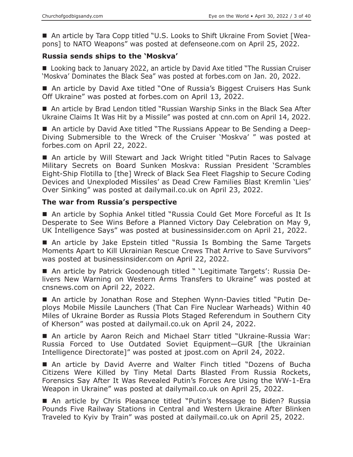■ An article by Tara Copp titled "U.S. Looks to Shift Ukraine From Soviet [Weapons] to NATO Weapons" was posted at defenseone.com on April 25, 2022.

## **Russia sends ships to the 'Moskva'**

■ Looking back to January 2022, an article by David Axe titled "The Russian Cruiser 'Moskva' Dominates the Black Sea" was posted at forbes.com on Jan. 20, 2022.

■ An article by David Axe titled "One of Russia's Biggest Cruisers Has Sunk Off Ukraine" was posted at forbes.com on April 13, 2022.

■ An article by Brad Lendon titled "Russian Warship Sinks in the Black Sea After Ukraine Claims It Was Hit by a Missile" was posted at cnn.com on April 14, 2022.

■ An article by David Axe titled "The Russians Appear to Be Sending a Deep-Diving Submersible to the Wreck of the Cruiser 'Moskva' " was posted at forbes.com on April 22, 2022.

■ An article by Will Stewart and Jack Wright titled "Putin Races to Salvage Military Secrets on Board Sunken Moskva: Russian President 'Scrambles Eight-Ship Flotilla to [the] Wreck of Black Sea Fleet Flagship to Secure Coding Devices and Unexploded Missiles' as Dead Crew Families Blast Kremlin 'Lies' Over Sinking" was posted at dailymail.co.uk on April 23, 2022.

#### **The war from Russia's perspective**

■ An article by Sophia Ankel titled "Russia Could Get More Forceful as It Is Desperate to See Wins Before a Planned Victory Day Celebration on May 9, UK Intelligence Says" was posted at businessinsider.com on April 21, 2022.

 An article by Jake Epstein titled "Russia Is Bombing the Same Targets Moments Apart to Kill Ukrainian Rescue Crews That Arrive to Save Survivors" was posted at businessinsider.com on April 22, 2022.

 An article by Patrick Goodenough titled " 'Legitimate Targets': Russia Delivers New Warning on Western Arms Transfers to Ukraine" was posted at cnsnews.com on April 22, 2022.

 An article by Jonathan Rose and Stephen Wynn-Davies titled "Putin Deploys Mobile Missile Launchers (That Can Fire Nuclear Warheads) Within 40 Miles of Ukraine Border as Russia Plots Staged Referendum in Southern City of Kherson" was posted at dailymail.co.uk on April 24, 2022.

 An article by Aaron Reich and Michael Starr titled "Ukraine-Russia War: Russia Forced to Use Outdated Soviet Equipment—GUR [the Ukrainian Intelligence Directorate]" was posted at jpost.com on April 24, 2022.

 An article by David Averre and Walter Finch titled "Dozens of Bucha Citizens Were Killed by Tiny Metal Darts Blasted From Russia Rockets, Forensics Say After It Was Revealed Putin's Forces Are Using the WW-1-Era Weapon in Ukraine" was posted at dailymail.co.uk on April 25, 2022.

■ An article by Chris Pleasance titled "Putin's Message to Biden? Russia Pounds Five Railway Stations in Central and Western Ukraine After Blinken Traveled to Kyiv by Train" was posted at dailymail.co.uk on April 25, 2022.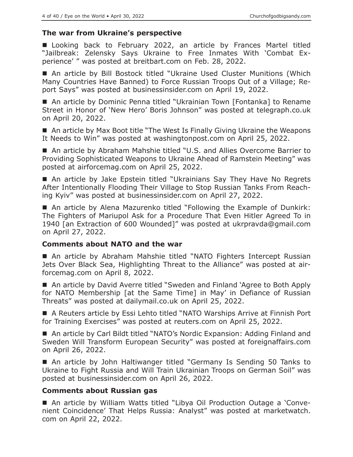# **The war from Ukraine's perspective**

**Looking back to February 2022, an article by Frances Martel titled** "Jailbreak: Zelensky Says Ukraine to Free Inmates With 'Combat Experience' " was posted at breitbart.com on Feb. 28, 2022.

 An article by Bill Bostock titled "Ukraine Used Cluster Munitions (Which Many Countries Have Banned) to Force Russian Troops Out of a Village; Report Says" was posted at businessinsider.com on April 19, 2022.

■ An article by Dominic Penna titled "Ukrainian Town [Fontanka] to Rename Street in Honor of 'New Hero' Boris Johnson" was posted at telegraph.co.uk on April 20, 2022.

■ An article by Max Boot title "The West Is Finally Giving Ukraine the Weapons It Needs to Win" was posted at washingtonpost.com on April 25, 2022.

■ An article by Abraham Mahshie titled "U.S. and Allies Overcome Barrier to Providing Sophisticated Weapons to Ukraine Ahead of Ramstein Meeting" was posted at airforcemag.com on April 25, 2022.

 An article by Jake Epstein titled "Ukrainians Say They Have No Regrets After Intentionally Flooding Their Village to Stop Russian Tanks From Reaching Kyiv" was posted at businessinsider.com on April 27, 2022.

■ An article by Alena Mazurenko titled "Following the Example of Dunkirk: The Fighters of Mariupol Ask for a Procedure That Even Hitler Agreed To in 1940 [an Extraction of 600 Wounded]" was posted at ukrpravda@gmail.com on April 27, 2022.

# **Comments about NATO and the war**

 An article by Abraham Mahshie titled "NATO Fighters Intercept Russian Jets Over Black Sea, Highlighting Threat to the Alliance" was posted at airforcemag.com on April 8, 2022.

■ An article by David Averre titled "Sweden and Finland 'Agree to Both Apply for NATO Membership [at the Same Time] in May' in Defiance of Russian Threats" was posted at dailymail.co.uk on April 25, 2022.

 A Reuters article by Essi Lehto titled "NATO Warships Arrive at Finnish Port for Training Exercises" was posted at reuters.com on April 25, 2022.

■ An article by Carl Bildt titled "NATO's Nordic Expansion: Adding Finland and Sweden Will Transform European Security" was posted at foreignaffairs.com on April 26, 2022.

■ An article by John Haltiwanger titled "Germany Is Sending 50 Tanks to Ukraine to Fight Russia and Will Train Ukrainian Troops on German Soil" was posted at businessinsider.com on April 26, 2022.

# **Comments about Russian gas**

 An article by William Watts titled "Libya Oil Production Outage a 'Convenient Coincidence' That Helps Russia: Analyst" was posted at marketwatch. com on April 22, 2022.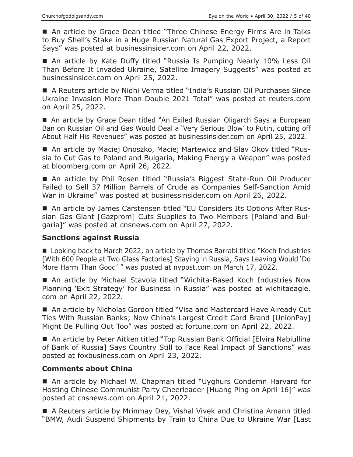■ An article by Grace Dean titled "Three Chinese Energy Firms Are in Talks to Buy Shell's Stake in a Huge Russian Natural Gas Export Project, a Report Says" was posted at businessinsider.com on April 22, 2022.

 An article by Kate Duffy titled "Russia Is Pumping Nearly 10% Less Oil Than Before It Invaded Ukraine, Satellite Imagery Suggests" was posted at businessinsider.com on April 25, 2022.

 A Reuters article by Nidhi Verma titled "India's Russian Oil Purchases Since Ukraine Invasion More Than Double 2021 Total" was posted at reuters.com on April 25, 2022.

■ An article by Grace Dean titled "An Exiled Russian Oligarch Says a European Ban on Russian Oil and Gas Would Deal a 'Very Serious Blow' to Putin, cutting off About Half His Revenues" was posted at businessinsider.com on April 25, 2022.

■ An article by Maciej Onoszko, Maciej Martewicz and Slav Okov titled "Russia to Cut Gas to Poland and Bulgaria, Making Energy a Weapon" was posted at bloomberg.com on April 26, 2022.

■ An article by Phil Rosen titled "Russia's Biggest State-Run Oil Producer Failed to Sell 37 Million Barrels of Crude as Companies Self-Sanction Amid War in Ukraine" was posted at businessinsider.com on April 26, 2022.

■ An article by James Carstensen titled "EU Considers Its Options After Russian Gas Giant [Gazprom] Cuts Supplies to Two Members [Poland and Bulgaria]" was posted at cnsnews.com on April 27, 2022.

# **Sanctions against Russia**

■ Looking back to March 2022, an article by Thomas Barrabi titled "Koch Industries [With 600 People at Two Glass Factories] Staying in Russia, Says Leaving Would 'Do More Harm Than Good' " was posted at nypost.com on March 17, 2022.

 An article by Michael Stavola titled "Wichita-Based Koch Industries Now Planning 'Exit Strategy' for Business in Russia" was posted at wichitaeagle. com on April 22, 2022.

■ An article by Nicholas Gordon titled "Visa and Mastercard Have Already Cut Ties With Russian Banks; Now China's Largest Credit Card Brand [UnionPay] Might Be Pulling Out Too" was posted at fortune.com on April 22, 2022.

■ An article by Peter Aitken titled "Top Russian Bank Official [Elvira Nabiullina of Bank of Russia] Says Country Still to Face Real Impact of Sanctions" was posted at foxbusiness.com on April 23, 2022.

# **Comments about China**

■ An article by Michael W. Chapman titled "Uyghurs Condemn Harvard for Hosting Chinese Communist Party Cheerleader [Huang Ping on April 16]" was posted at cnsnews.com on April 21, 2022.

■ A Reuters article by Mrinmay Dey, Vishal Vivek and Christina Amann titled "BMW, Audi Suspend Shipments by Train to China Due to Ukraine War [Last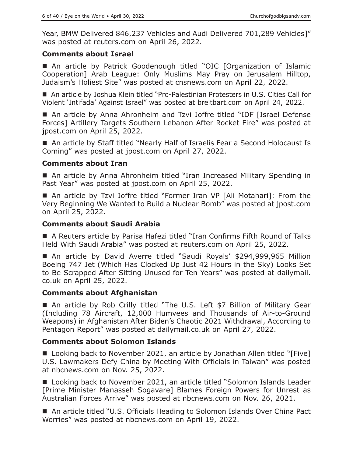Year, BMW Delivered 846,237 Vehicles and Audi Delivered 701,289 Vehicles]" was posted at reuters.com on April 26, 2022.

#### **Comments about Israel**

 An article by Patrick Goodenough titled "OIC [Organization of Islamic Cooperation] Arab League: Only Muslims May Pray on Jerusalem Hilltop, Judaism's Holiest Site" was posted at cnsnews.com on April 22, 2022.

■ An article by Joshua Klein titled "Pro-Palestinian Protesters in U.S. Cities Call for Violent 'Intifada' Against Israel" was posted at breitbart.com on April 24, 2022.

■ An article by Anna Ahronheim and Tzvi Joffre titled "IDF [Israel Defense Forces] Artillery Targets Southern Lebanon After Rocket Fire" was posted at jpost.com on April 25, 2022.

■ An article by Staff titled "Nearly Half of Israelis Fear a Second Holocaust Is Coming" was posted at jpost.com on April 27, 2022.

# **Comments about Iran**

■ An article by Anna Ahronheim titled "Iran Increased Military Spending in Past Year" was posted at jpost.com on April 25, 2022.

 An article by Tzvi Joffre titled "Former Iran VP [Ali Motahari]: From the Very Beginning We Wanted to Build a Nuclear Bomb" was posted at jpost.com on April 25, 2022.

#### **Comments about Saudi Arabia**

 A Reuters article by Parisa Hafezi titled "Iran Confirms Fifth Round of Talks Held With Saudi Arabia" was posted at reuters.com on April 25, 2022.

■ An article by David Averre titled "Saudi Royals' \$294,999,965 Million Boeing 747 Jet (Which Has Clocked Up Just 42 Hours in the Sky) Looks Set to Be Scrapped After Sitting Unused for Ten Years" was posted at dailymail. co.uk on April 25, 2022.

# **Comments about Afghanistan**

■ An article by Rob Crilly titled "The U.S. Left \$7 Billion of Military Gear (Including 78 Aircraft, 12,000 Humvees and Thousands of Air-to-Ground Weapons) in Afghanistan After Biden's Chaotic 2021 Withdrawal, According to Pentagon Report" was posted at dailymail.co.uk on April 27, 2022.

# **Comments about Solomon Islands**

■ Looking back to November 2021, an article by Jonathan Allen titled "[Five] U.S. Lawmakers Defy China by Meeting With Officials in Taiwan" was posted at nbcnews.com on Nov. 25, 2022.

■ Looking back to November 2021, an article titled "Solomon Islands Leader [Prime Minister Manasseh Sogavare] Blames Foreign Powers for Unrest as Australian Forces Arrive" was posted at nbcnews.com on Nov. 26, 2021.

■ An article titled "U.S. Officials Heading to Solomon Islands Over China Pact Worries" was posted at nbcnews.com on April 19, 2022.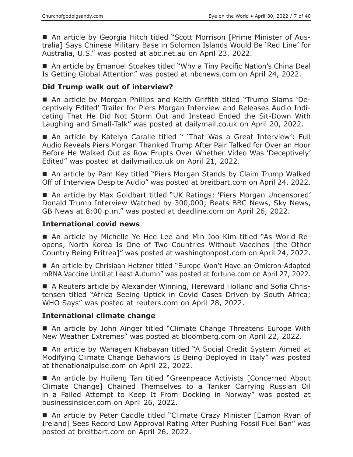An article by Georgia Hitch titled "Scott Morrison [Prime Minister of Australia] Says Chinese Military Base in Solomon Islands Would Be 'Red Line' for Australia, U.S." was posted at abc.net.au on April 23, 2022.

■ An article by Emanuel Stoakes titled "Why a Tiny Pacific Nation's China Deal Is Getting Global Attention" was posted at nbcnews.com on April 24, 2022.

#### **Did Trump walk out of interview?**

 An article by Morgan Phillips and Keith Griffith titled "Trump Slams 'Deceptively Edited' Trailer for Piers Morgan Interview and Releases Audio Indicating That He Did Not Storm Out and Instead Ended the Sit-Down With Laughing and Small-Talk" was posted at dailymail.co.uk on April 20, 2022.

■ An article by Katelyn Caralle titled " 'That Was a Great Interview': Full Audio Reveals Piers Morgan Thanked Trump After Pair Talked for Over an Hour Before He Walked Out as Row Erupts Over Whether Video Was 'Deceptively' Edited" was posted at dailymail.co.uk on April 21, 2022.

■ An article by Pam Key titled "Piers Morgan Stands by Claim Trump Walked Off of Interview Despite Audio" was posted at breitbart.com on April 24, 2022.

■ An article by Max Goldbart titled "UK Ratings: 'Piers Morgan Uncensored' Donald Trump Interview Watched by 300,000; Beats BBC News, Sky News, GB News at 8:00 p.m." was posted at deadline.com on April 26, 2022.

#### **International covid news**

 An article by Michelle Ye Hee Lee and Min Joo Kim titled "As World Reopens, North Korea Is One of Two Countries Without Vaccines [the Other Country Being Eritrea]" was posted at washingtonpost.com on April 24, 2022.

 An article by Chrisiaan Hetzner titled "Europe Won't Have an Omicron-Adapted mRNA Vaccine Until at Least Autumn" was posted at fortune.com on April 27, 2022.

 A Reuters article by Alexander Winning, Hereward Holland and Sofia Christensen titled "Africa Seeing Uptick in Covid Cases Driven by South Africa; WHO Says" was posted at reuters.com on April 28, 2022.

#### **International climate change**

■ An article by John Ainger titled "Climate Change Threatens Europe With New Weather Extremes" was posted at bloomberg.com on April 22, 2022.

■ An article by Wahagen Khabayan titled "A Social Credit System Aimed at Modifying Climate Change Behaviors Is Being Deployed in Italy" was posted at thenationalpulse.com on April 22, 2022.

■ An article by Huileng Tan titled "Greenpeace Activists [Concerned About Climate Change] Chained Themselves to a Tanker Carrying Russian Oil in a Failed Attempt to Keep It From Docking in Norway" was posted at businessinsider.com on April 26, 2022.

■ An article by Peter Caddle titled "Climate Crazy Minister [Eamon Ryan of Ireland] Sees Record Low Approval Rating After Pushing Fossil Fuel Ban" was posted at breitbart.com on April 26, 2022.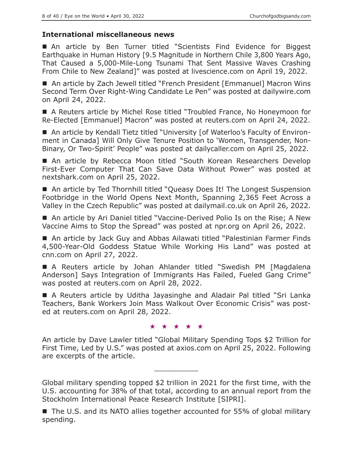# **International miscellaneous news**

■ An article by Ben Turner titled "Scientists Find Evidence for Biggest Earthquake in Human History [9.5 Magnitude in Northern Chile 3,800 Years Ago, That Caused a 5,000-Mile-Long Tsunami That Sent Massive Waves Crashing From Chile to New Zealand]" was posted at livescience.com on April 19, 2022.

■ An article by Zach Jewell titled "French President [Emmanuel] Macron Wins Second Term Over Right-Wing Candidate Le Pen" was posted at dailywire.com on April 24, 2022.

 A Reuters article by Michel Rose titled "Troubled France, No Honeymoon for Re-Elected [Emmanuel] Macron" was posted at reuters.com on April 24, 2022.

■ An article by Kendall Tietz titled "University [of Waterloo's Faculty of Environment in Canada] Will Only Give Tenure Position to 'Women, Transgender, Non-Binary, Or Two-Spirit' People" was posted at dailycaller.com on April 25, 2022.

■ An article by Rebecca Moon titled "South Korean Researchers Develop First-Ever Computer That Can Save Data Without Power" was posted at nextshark.com on April 25, 2022.

■ An article by Ted Thornhill titled "Queasy Does It! The Longest Suspension Footbridge in the World Opens Next Month, Spanning 2,365 Feet Across a Valley in the Czech Republic" was posted at dailymail.co.uk on April 26, 2022.

■ An article by Ari Daniel titled "Vaccine-Derived Polio Is on the Rise; A New Vaccine Aims to Stop the Spread" was posted at npr.org on April 26, 2022.

■ An article by Jack Guy and Abbas Ailawati titled "Palestinian Farmer Finds 4,500-Year-Old Goddess Statue While Working His Land" was posted at cnn.com on April 27, 2022.

 A Reuters article by Johan Ahlander titled "Swedish PM [Magdalena Anderson] Says Integration of Immigrants Has Failed, Fueled Gang Crime" was posted at reuters.com on April 28, 2022.

 A Reuters article by Uditha Jayasinghe and Aladair Pal titled "Sri Lanka Teachers, Bank Workers Join Mass Walkout Over Economic Crisis" was posted at reuters.com on April 28, 2022.

#### ★★★★★

An article by Dave Lawler titled "Global Military Spending Tops \$2 Trillion for First Time, Led by U.S." was posted at axios.com on April 25, 2022. Following are excerpts of the article.

 $\overline{\phantom{a}}$  , where  $\overline{\phantom{a}}$ 

Global military spending topped \$2 trillion in 2021 for the first time, with the U.S. accounting for 38% of that total, according to an annual report from the Stockholm International Peace Research Institute [SIPRI].

■ The U.S. and its NATO allies together accounted for 55% of global military spending.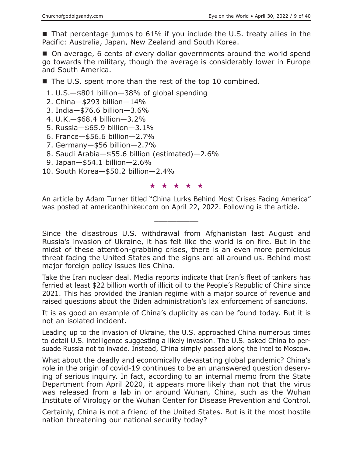$\blacksquare$  That percentage jumps to 61% if you include the U.S. treaty allies in the Pacific: Australia, Japan, New Zealand and South Korea.

■ On average, 6 cents of every dollar governments around the world spend go towards the military, though the average is considerably lower in Europe and South America.

■ The U.S. spent more than the rest of the top 10 combined.

1. U.S.—\$801 billion—38% of global spending

2. China—\$293 billion—14%

3. India—\$76.6 billion—3.6%

- 4. U.K.—\$68.4 billion—3.2%
- 5. Russia—\$65.9 billion—3.1%
- 6. France—\$56.6 billion—2.7%
- 7. Germany—\$56 billion—2.7%
- 8. Saudi Arabia—\$55.6 billion (estimated)—2.6%
- 9. Japan—\$54.1 billion—2.6%
- 10. South Korea—\$50.2 billion—2.4%

#### ★★★★★

An article by Adam Turner titled "China Lurks Behind Most Crises Facing America" was posted at americanthinker.com on April 22, 2022. Following is the article.

 $\overline{\phantom{a}}$  , where  $\overline{\phantom{a}}$ 

Since the disastrous U.S. withdrawal from Afghanistan last August and Russia's invasion of Ukraine, it has felt like the world is on fire. But in the midst of these attention-grabbing crises, there is an even more pernicious threat facing the United States and the signs are all around us. Behind most major foreign policy issues lies China.

Take the Iran nuclear deal. Media reports indicate that Iran's fleet of tankers has ferried at least \$22 billion worth of illicit oil to the People's Republic of China since 2021. This has provided the Iranian regime with a major source of revenue and raised questions about the Biden administration's lax enforcement of sanctions.

It is as good an example of China's duplicity as can be found today. But it is not an isolated incident.

Leading up to the invasion of Ukraine, the U.S. approached China numerous times to detail U.S. intelligence suggesting a likely invasion. The U.S. asked China to persuade Russia not to invade. Instead, China simply passed along the intel to Moscow.

What about the deadly and economically devastating global pandemic? China's role in the origin of covid-19 continues to be an unanswered question deserving of serious inquiry. In fact, according to an internal memo from the State Department from April 2020, it appears more likely than not that the virus was released from a lab in or around Wuhan, China, such as the Wuhan Institute of Virology or the Wuhan Center for Disease Prevention and Control.

Certainly, China is not a friend of the United States. But is it the most hostile nation threatening our national security today?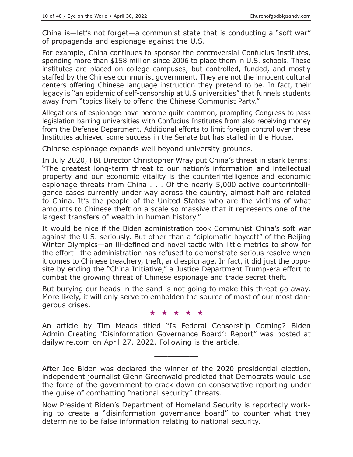China is—let's not forget—a communist state that is conducting a "soft war" of propaganda and espionage against the U.S.

For example, China continues to sponsor the controversial Confucius Institutes, spending more than \$158 million since 2006 to place them in U.S. schools. These institutes are placed on college campuses, but controlled, funded, and mostly staffed by the Chinese communist government. They are not the innocent cultural centers offering Chinese language instruction they pretend to be. In fact, their legacy is "an epidemic of self-censorship at U.S universities" that funnels students away from "topics likely to offend the Chinese Communist Party."

Allegations of espionage have become quite common, prompting Congress to pass legislation barring universities with Confucius Institutes from also receiving money from the Defense Department. Additional efforts to limit foreign control over these Institutes achieved some success in the Senate but has stalled in the House.

Chinese espionage expands well beyond university grounds.

In July 2020, FBI Director Christopher Wray put China's threat in stark terms: "The greatest long-term threat to our nation's information and intellectual property and our economic vitality is the counterintelligence and economic espionage threats from China . . . Of the nearly 5,000 active counterintelligence cases currently under way across the country, almost half are related to China. It's the people of the United States who are the victims of what amounts to Chinese theft on a scale so massive that it represents one of the largest transfers of wealth in human history."

It would be nice if the Biden administration took Communist China's soft war against the U.S. seriously. But other than a "diplomatic boycott" of the Beijing Winter Olympics—an ill-defined and novel tactic with little metrics to show for the effort—the administration has refused to demonstrate serious resolve when it comes to Chinese treachery, theft, and espionage. In fact, it did just the opposite by ending the "China Initiative," a Justice Department Trump-era effort to combat the growing threat of Chinese espionage and trade secret theft.

But burying our heads in the sand is not going to make this threat go away. More likely, it will only serve to embolden the source of most of our most dangerous crises.

#### ★★★★★

An article by Tim Meads titled "Is Federal Censorship Coming? Biden Admin Creating 'Disinformation Governance Board': Report" was posted at dailywire.com on April 27, 2022. Following is the article.

 $\overline{\phantom{a}}$  , where  $\overline{\phantom{a}}$ 

After Joe Biden was declared the winner of the 2020 presidential election, independent journalist Glenn Greenwald predicted that Democrats would use the force of the government to crack down on conservative reporting under the guise of combatting "national security" threats.

Now President Biden's Department of Homeland Security is reportedly working to create a "disinformation governance board" to counter what they determine to be false information relating to national security.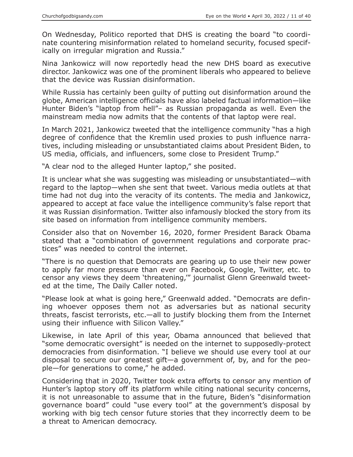On Wednesday, Politico reported that DHS is creating the board "to coordinate countering misinformation related to homeland security, focused specifically on irregular migration and Russia."

Nina Jankowicz will now reportedly head the new DHS board as executive director. Jankowicz was one of the prominent liberals who appeared to believe that the device was Russian disinformation.

While Russia has certainly been guilty of putting out disinformation around the globe, American intelligence officials have also labeled factual information—like Hunter Biden's "laptop from hell"– as Russian propaganda as well. Even the mainstream media now admits that the contents of that laptop were real.

In March 2021, Jankowicz tweeted that the intelligence community "has a high degree of confidence that the Kremlin used proxies to push influence narratives, including misleading or unsubstantiated claims about President Biden, to US media, officials, and influencers, some close to President Trump."

"A clear nod to the alleged Hunter laptop," she posited.

It is unclear what she was suggesting was misleading or unsubstantiated—with regard to the laptop—when she sent that tweet. Various media outlets at that time had not dug into the veracity of its contents. The media and Jankowicz, appeared to accept at face value the intelligence community's false report that it was Russian disinformation. Twitter also infamously blocked the story from its site based on information from intelligence community members.

Consider also that on November 16, 2020, former President Barack Obama stated that a "combination of government regulations and corporate practices" was needed to control the internet.

"There is no question that Democrats are gearing up to use their new power to apply far more pressure than ever on Facebook, Google, Twitter, etc. to censor any views they deem 'threatening,'" journalist Glenn Greenwald tweeted at the time, The Daily Caller noted.

"Please look at what is going here," Greenwald added. "Democrats are defining whoever opposes them not as adversaries but as national security threats, fascist terrorists, etc.—all to justify blocking them from the Internet using their influence with Silicon Valley."

Likewise, in late April of this year, Obama announced that believed that "some democratic oversight" is needed on the internet to supposedly-protect democracies from disinformation. "I believe we should use every tool at our disposal to secure our greatest gift—a government of, by, and for the people—for generations to come," he added.

Considering that in 2020, Twitter took extra efforts to censor any mention of Hunter's laptop story off its platform while citing national security concerns, it is not unreasonable to assume that in the future, Biden's "disinformation governance board" could "use every tool" at the government's disposal by working with big tech censor future stories that they incorrectly deem to be a threat to American democracy.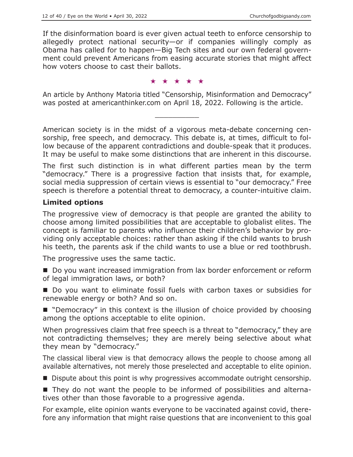If the disinformation board is ever given actual teeth to enforce censorship to allegedly protect national security—or if companies willingly comply as Obama has called for to happen—Big Tech sites and our own federal government could prevent Americans from easing accurate stories that might affect how voters choose to cast their ballots.

#### ★★★★★

An article by Anthony Matoria titled "Censorship, Misinformation and Democracy" was posted at americanthinker.com on April 18, 2022. Following is the article.

 $\overline{\phantom{a}}$  , where  $\overline{\phantom{a}}$ 

American society is in the midst of a vigorous meta-debate concerning censorship, free speech, and democracy. This debate is, at times, difficult to follow because of the apparent contradictions and double-speak that it produces. It may be useful to make some distinctions that are inherent in this discourse.

The first such distinction is in what different parties mean by the term "democracy." There is a progressive faction that insists that, for example, social media suppression of certain views is essential to "our democracy." Free speech is therefore a potential threat to democracy, a counter-intuitive claim.

# **Limited options**

The progressive view of democracy is that people are granted the ability to choose among limited possibilities that are acceptable to globalist elites. The concept is familiar to parents who influence their children's behavior by providing only acceptable choices: rather than asking if the child wants to brush his teeth, the parents ask if the child wants to use a blue or red toothbrush.

The progressive uses the same tactic.

Do you want increased immigration from lax border enforcement or reform of legal immigration laws, or both?

■ Do you want to eliminate fossil fuels with carbon taxes or subsidies for renewable energy or both? And so on.

■ "Democracy" in this context is the illusion of choice provided by choosing among the options acceptable to elite opinion.

When progressives claim that free speech is a threat to "democracy," they are not contradicting themselves; they are merely being selective about what they mean by "democracy."

The classical liberal view is that democracy allows the people to choose among all available alternatives, not merely those preselected and acceptable to elite opinion.

Dispute about this point is why progressives accommodate outright censorship.

 They do not want the people to be informed of possibilities and alternatives other than those favorable to a progressive agenda.

For example, elite opinion wants everyone to be vaccinated against covid, therefore any information that might raise questions that are inconvenient to this goal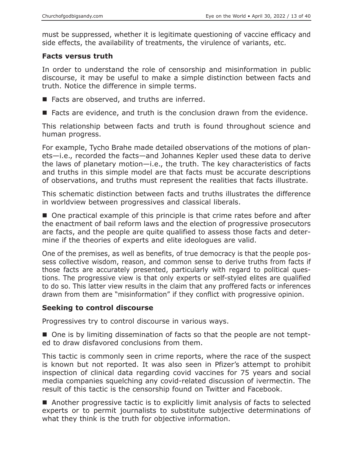must be suppressed, whether it is legitimate questioning of vaccine efficacy and side effects, the availability of treatments, the virulence of variants, etc.

#### **Facts versus truth**

In order to understand the role of censorship and misinformation in public discourse, it may be useful to make a simple distinction between facts and truth. Notice the difference in simple terms.

- Facts are observed, and truths are inferred.
- Facts are evidence, and truth is the conclusion drawn from the evidence.

This relationship between facts and truth is found throughout science and human progress.

For example, Tycho Brahe made detailed observations of the motions of planets—i.e., recorded the facts—and Johannes Kepler used these data to derive the laws of planetary motion—i.e., the truth. The key characteristics of facts and truths in this simple model are that facts must be accurate descriptions of observations, and truths must represent the realities that facts illustrate.

This schematic distinction between facts and truths illustrates the difference in worldview between progressives and classical liberals.

■ One practical example of this principle is that crime rates before and after the enactment of bail reform laws and the election of progressive prosecutors are facts, and the people are quite qualified to assess those facts and determine if the theories of experts and elite ideologues are valid.

One of the premises, as well as benefits, of true democracy is that the people possess collective wisdom, reason, and common sense to derive truths from facts if those facts are accurately presented, particularly with regard to political questions. The progressive view is that only experts or self-styled elites are qualified to do so. This latter view results in the claim that any proffered facts or inferences drawn from them are "misinformation" if they conflict with progressive opinion.

# **Seeking to control discourse**

Progressives try to control discourse in various ways.

■ One is by limiting dissemination of facts so that the people are not tempted to draw disfavored conclusions from them.

This tactic is commonly seen in crime reports, where the race of the suspect is known but not reported. It was also seen in Pfizer's attempt to prohibit inspection of clinical data regarding covid vaccines for 75 years and social media companies squelching any covid-related discussion of ivermectin. The result of this tactic is the censorship found on Twitter and Facebook.

■ Another progressive tactic is to explicitly limit analysis of facts to selected experts or to permit journalists to substitute subjective determinations of what they think is the truth for objective information.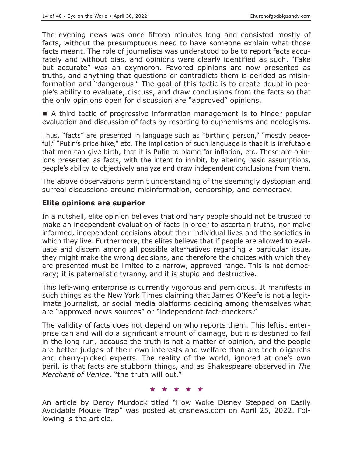The evening news was once fifteen minutes long and consisted mostly of facts, without the presumptuous need to have someone explain what those facts meant. The role of journalists was understood to be to report facts accurately and without bias, and opinions were clearly identified as such. "Fake but accurate" was an oxymoron. Favored opinions are now presented as truths, and anything that questions or contradicts them is derided as misinformation and "dangerous." The goal of this tactic is to create doubt in people's ability to evaluate, discuss, and draw conclusions from the facts so that the only opinions open for discussion are "approved" opinions.

■ A third tactic of progressive information management is to hinder popular evaluation and discussion of facts by resorting to euphemisms and neologisms.

Thus, "facts" are presented in language such as "birthing person," "mostly peaceful," "Putin's price hike," etc. The implication of such language is that it is irrefutable that men can give birth, that it is Putin to blame for inflation, etc. These are opinions presented as facts, with the intent to inhibit, by altering basic assumptions, people's ability to objectively analyze and draw independent conclusions from them.

The above observations permit understanding of the seemingly dystopian and surreal discussions around misinformation, censorship, and democracy.

# **Elite opinions are superior**

In a nutshell, elite opinion believes that ordinary people should not be trusted to make an independent evaluation of facts in order to ascertain truths, nor make informed, independent decisions about their individual lives and the societies in which they live. Furthermore, the elites believe that if people are allowed to evaluate and discern among all possible alternatives regarding a particular issue, they might make the wrong decisions, and therefore the choices with which they are presented must be limited to a narrow, approved range. This is not democracy; it is paternalistic tyranny, and it is stupid and destructive.

This left-wing enterprise is currently vigorous and pernicious. It manifests in such things as the New York Times claiming that James O'Keefe is not a legitimate journalist, or social media platforms deciding among themselves what are "approved news sources" or "independent fact-checkers."

The validity of facts does not depend on who reports them. This leftist enterprise can and will do a significant amount of damage, but it is destined to fail in the long run, because the truth is not a matter of opinion, and the people are better judges of their own interests and welfare than are tech oligarchs and cherry-picked experts. The reality of the world, ignored at one's own peril, is that facts are stubborn things, and as Shakespeare observed in *The Merchant of Venice*, "the truth will out."

#### ★★★★★

An article by Deroy Murdock titled "How Woke Disney Stepped on Easily Avoidable Mouse Trap" was posted at cnsnews.com on April 25, 2022. Following is the article.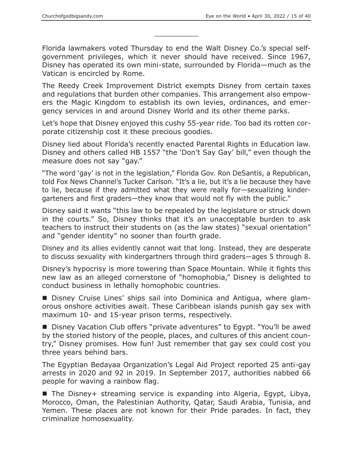Florida lawmakers voted Thursday to end the Walt Disney Co.'s special selfgovernment privileges, which it never should have received. Since 1967, Disney has operated its own mini-state, surrounded by Florida—much as the Vatican is encircled by Rome.

 $\overline{\phantom{a}}$  , where  $\overline{\phantom{a}}$ 

The Reedy Creek Improvement District exempts Disney from certain taxes and regulations that burden other companies. This arrangement also empowers the Magic Kingdom to establish its own levies, ordinances, and emergency services in and around Disney World and its other theme parks.

Let's hope that Disney enjoyed this cushy 55-year ride. Too bad its rotten corporate citizenship cost it these precious goodies.

Disney lied about Florida's recently enacted Parental Rights in Education law. Disney and others called HB 1557 "the 'Don't Say Gay' bill," even though the measure does not say "gay."

"The word 'gay' is not in the legislation," Florida Gov. Ron DeSantis, a Republican, told Fox News Channel's Tucker Carlson. "It's a lie, but it's a lie because they have to lie, because if they admitted what they were really for—sexualizing kindergarteners and first graders—they know that would not fly with the public."

Disney said it wants "this law to be repealed by the legislature or struck down in the courts." So, Disney thinks that it's an unacceptable burden to ask teachers to instruct their students on (as the law states) "sexual orientation" and "gender identity" no sooner than fourth grade.

Disney and its allies evidently cannot wait that long. Instead, they are desperate to discuss sexuality with kindergartners through third graders—ages 5 through 8.

Disney's hypocrisy is more towering than Space Mountain. While it fights this new law as an alleged cornerstone of "homophobia," Disney is delighted to conduct business in lethally homophobic countries.

■ Disney Cruise Lines' ships sail into Dominica and Antigua, where glamorous onshore activities await. These Caribbean islands punish gay sex with maximum 10- and 15-year prison terms, respectively.

■ Disney Vacation Club offers "private adventures" to Egypt. "You'll be awed by the storied history of the people, places, and cultures of this ancient country," Disney promises. How fun! Just remember that gay sex could cost you three years behind bars.

The Egyptian Bedayaa Organization's Legal Aid Project reported 25 anti-gay arrests in 2020 and 92 in 2019. In September 2017, authorities nabbed 66 people for waving a rainbow flag.

The Disney + streaming service is expanding into Algeria, Egypt, Libya, Morocco, Oman, the Palestinian Authority, Qatar, Saudi Arabia, Tunisia, and Yemen. These places are not known for their Pride parades. In fact, they criminalize homosexuality.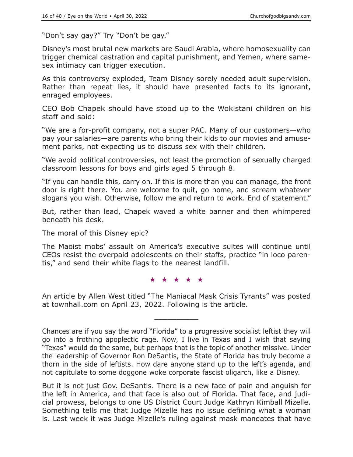"Don't say gay?" Try "Don't be gay."

Disney's most brutal new markets are Saudi Arabia, where homosexuality can trigger chemical castration and capital punishment, and Yemen, where samesex intimacy can trigger execution.

As this controversy exploded, Team Disney sorely needed adult supervision. Rather than repeat lies, it should have presented facts to its ignorant, enraged employees.

CEO Bob Chapek should have stood up to the Wokistani children on his staff and said:

"We are a for-profit company, not a super PAC. Many of our customers—who pay your salaries—are parents who bring their kids to our movies and amusement parks, not expecting us to discuss sex with their children.

"We avoid political controversies, not least the promotion of sexually charged classroom lessons for boys and girls aged 5 through 8.

"If you can handle this, carry on. If this is more than you can manage, the front door is right there. You are welcome to quit, go home, and scream whatever slogans you wish. Otherwise, follow me and return to work. End of statement."

But, rather than lead, Chapek waved a white banner and then whimpered beneath his desk.

The moral of this Disney epic?

The Maoist mobs' assault on America's executive suites will continue until CEOs resist the overpaid adolescents on their staffs, practice "in loco parentis," and send their white flags to the nearest landfill.

★★★★★

An article by Allen West titled "The Maniacal Mask Crisis Tyrants" was posted at townhall.com on April 23, 2022. Following is the article.

 $\overline{\phantom{a}}$  , where  $\overline{\phantom{a}}$ 

But it is not just Gov. DeSantis. There is a new face of pain and anguish for the left in America, and that face is also out of Florida. That face, and judicial prowess, belongs to one US District Court Judge Kathryn Kimball Mizelle. Something tells me that Judge Mizelle has no issue defining what a woman is. Last week it was Judge Mizelle's ruling against mask mandates that have

Chances are if you say the word "Florida" to a progressive socialist leftist they will go into a frothing apoplectic rage. Now, I live in Texas and I wish that saying "Texas" would do the same, but perhaps that is the topic of another missive. Under the leadership of Governor Ron DeSantis, the State of Florida has truly become a thorn in the side of leftists. How dare anyone stand up to the left's agenda, and not capitulate to some doggone woke corporate fascist oligarch, like a Disney.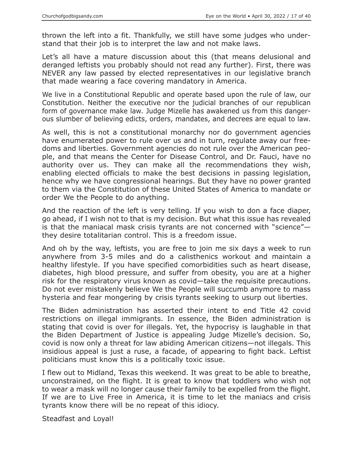thrown the left into a fit. Thankfully, we still have some judges who understand that their job is to interpret the law and not make laws.

Let's all have a mature discussion about this (that means delusional and deranged leftists you probably should not read any further). First, there was NEVER any law passed by elected representatives in our legislative branch that made wearing a face covering mandatory in America.

We live in a Constitutional Republic and operate based upon the rule of law, our Constitution. Neither the executive nor the judicial branches of our republican form of governance make law. Judge Mizelle has awakened us from this dangerous slumber of believing edicts, orders, mandates, and decrees are equal to law.

As well, this is not a constitutional monarchy nor do government agencies have enumerated power to rule over us and in turn, regulate away our freedoms and liberties. Government agencies do not rule over the American people, and that means the Center for Disease Control, and Dr. Fauci, have no authority over us. They can make all the recommendations they wish, enabling elected officials to make the best decisions in passing legislation, hence why we have congressional hearings. But they have no power granted to them via the Constitution of these United States of America to mandate or order We the People to do anything.

And the reaction of the left is very telling. If you wish to don a face diaper, go ahead, if I wish not to that is my decision. But what this issue has revealed is that the maniacal mask crisis tyrants are not concerned with "science" they desire totalitarian control. This is a freedom issue.

And oh by the way, leftists, you are free to join me six days a week to run anywhere from 3-5 miles and do a calisthenics workout and maintain a healthy lifestyle. If you have specified comorbidities such as heart disease, diabetes, high blood pressure, and suffer from obesity, you are at a higher risk for the respiratory virus known as covid—take the requisite precautions. Do not ever mistakenly believe We the People will succumb anymore to mass hysteria and fear mongering by crisis tyrants seeking to usurp out liberties.

The Biden administration has asserted their intent to end Title 42 covid restrictions on illegal immigrants. In essence, the Biden administration is stating that covid is over for illegals. Yet, the hypocrisy is laughable in that the Biden Department of Justice is appealing Judge Mizelle's decision. So, covid is now only a threat for law abiding American citizens—not illegals. This insidious appeal is just a ruse, a facade, of appearing to fight back. Leftist politicians must know this is a politically toxic issue.

I flew out to Midland, Texas this weekend. It was great to be able to breathe, unconstrained, on the flight. It is great to know that toddlers who wish not to wear a mask will no longer cause their family to be expelled from the flight. If we are to Live Free in America, it is time to let the maniacs and crisis tyrants know there will be no repeat of this idiocy.

Steadfast and Loyal!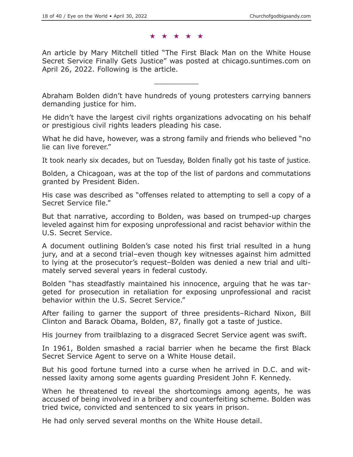#### ★★★★★

An article by Mary Mitchell titled "The First Black Man on the White House Secret Service Finally Gets Justice" was posted at chicago.suntimes.com on April 26, 2022. Following is the article.

 $\overline{\phantom{a}}$  , where  $\overline{\phantom{a}}$ 

Abraham Bolden didn't have hundreds of young protesters carrying banners demanding justice for him.

He didn't have the largest civil rights organizations advocating on his behalf or prestigious civil rights leaders pleading his case.

What he did have, however, was a strong family and friends who believed "no lie can live forever."

It took nearly six decades, but on Tuesday, Bolden finally got his taste of justice.

Bolden, a Chicagoan, was at the top of the list of pardons and commutations granted by President Biden.

His case was described as "offenses related to attempting to sell a copy of a Secret Service file."

But that narrative, according to Bolden, was based on trumped-up charges leveled against him for exposing unprofessional and racist behavior within the U.S. Secret Service.

A document outlining Bolden's case noted his first trial resulted in a hung jury, and at a second trial–even though key witnesses against him admitted to lying at the prosecutor's request–Bolden was denied a new trial and ultimately served several years in federal custody.

Bolden "has steadfastly maintained his innocence, arguing that he was targeted for prosecution in retaliation for exposing unprofessional and racist behavior within the U.S. Secret Service."

After failing to garner the support of three presidents–Richard Nixon, Bill Clinton and Barack Obama, Bolden, 87, finally got a taste of justice.

His journey from trailblazing to a disgraced Secret Service agent was swift.

In 1961, Bolden smashed a racial barrier when he became the first Black Secret Service Agent to serve on a White House detail.

But his good fortune turned into a curse when he arrived in D.C. and witnessed laxity among some agents guarding President John F. Kennedy.

When he threatened to reveal the shortcomings among agents, he was accused of being involved in a bribery and counterfeiting scheme. Bolden was tried twice, convicted and sentenced to six years in prison.

He had only served several months on the White House detail.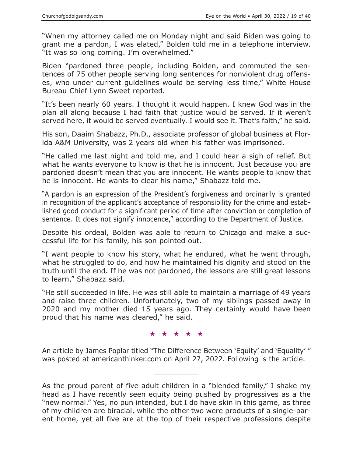"When my attorney called me on Monday night and said Biden was going to grant me a pardon, I was elated," Bolden told me in a telephone interview. "It was so long coming. I'm overwhelmed."

Biden "pardoned three people, including Bolden, and commuted the sentences of 75 other people serving long sentences for nonviolent drug offenses, who under current guidelines would be serving less time," White House Bureau Chief Lynn Sweet reported.

"It's been nearly 60 years. I thought it would happen. I knew God was in the plan all along because I had faith that justice would be served. If it weren't served here, it would be served eventually. I would see it. That's faith," he said.

His son, Daaim Shabazz, Ph.D., associate professor of global business at Florida A&M University, was 2 years old when his father was imprisoned.

"He called me last night and told me, and I could hear a sigh of relief. But what he wants everyone to know is that he is innocent. Just because you are pardoned doesn't mean that you are innocent. He wants people to know that he is innocent. He wants to clear his name," Shabazz told me.

"A pardon is an expression of the President's forgiveness and ordinarily is granted in recognition of the applicant's acceptance of responsibility for the crime and established good conduct for a significant period of time after conviction or completion of sentence. It does not signify innocence," according to the Department of Justice.

Despite his ordeal, Bolden was able to return to Chicago and make a successful life for his family, his son pointed out.

"I want people to know his story, what he endured, what he went through, what he struggled to do, and how he maintained his dignity and stood on the truth until the end. If he was not pardoned, the lessons are still great lessons to learn," Shabazz said.

"He still succeeded in life. He was still able to maintain a marriage of 49 years and raise three children. Unfortunately, two of my siblings passed away in 2020 and my mother died 15 years ago. They certainly would have been proud that his name was cleared," he said.

#### ★★★★★

An article by James Poplar titled "The Difference Between 'Equity' and 'Equality' " was posted at americanthinker.com on April 27, 2022. Following is the article.

 $\overline{\phantom{a}}$  , where  $\overline{\phantom{a}}$ 

As the proud parent of five adult children in a "blended family," I shake my head as I have recently seen equity being pushed by progressives as a the "new normal." Yes, no pun intended, but I do have skin in this game, as three of my children are biracial, while the other two were products of a single-parent home, yet all five are at the top of their respective professions despite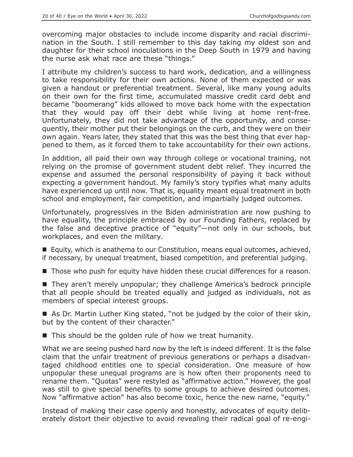overcoming major obstacles to include income disparity and racial discrimination in the South. I still remember to this day taking my oldest son and daughter for their school inoculations in the Deep South in 1979 and having the nurse ask what race are these "things."

I attribute my children's success to hard work, dedication, and a willingness to take responsibility for their own actions. None of them expected or was given a handout or preferential treatment. Several, like many young adults on their own for the first time, accumulated massive credit card debt and became "boomerang" kids allowed to move back home with the expectation that they would pay off their debt while living at home rent-free. Unfortunately, they did not take advantage of the opportunity, and consequently, their mother put their belongings on the curb, and they were on their own again. Years later, they stated that this was the best thing that ever happened to them, as it forced them to take accountability for their own actions.

In addition, all paid their own way through college or vocational training, not relying on the promise of government student debt relief. They incurred the expense and assumed the personal responsibility of paying it back without expecting a government handout. My family's story typifies what many adults have experienced up until now. That is, equality meant equal treatment in both school and employment, fair competition, and impartially judged outcomes.

Unfortunately, progressives in the Biden administration are now pushing to have equality, the principle embraced by our Founding Fathers, replaced by the false and deceptive practice of "equity"—not only in our schools, but workplaces, and even the military.

■ Equity, which is anathema to our Constitution, means equal outcomes, achieved, if necessary, by unequal treatment, biased competition, and preferential judging.

■ Those who push for equity have hidden these crucial differences for a reason.

■ They aren't merely unpopular; they challenge America's bedrock principle that all people should be treated equally and judged as individuals, not as members of special interest groups.

■ As Dr. Martin Luther King stated, "not be judged by the color of their skin, but by the content of their character."

■ This should be the golden rule of how we treat humanity.

What we are seeing pushed hard now by the left is indeed different. It is the false claim that the unfair treatment of previous generations or perhaps a disadvantaged childhood entitles one to special consideration. One measure of how unpopular these unequal programs are is how often their proponents need to rename them. "Quotas" were restyled as "affirmative action." However, the goal was still to give special benefits to some groups to achieve desired outcomes. Now "affirmative action" has also become toxic, hence the new name, "equity."

Instead of making their case openly and honestly, advocates of equity deliberately distort their objective to avoid revealing their radical goal of re-engi-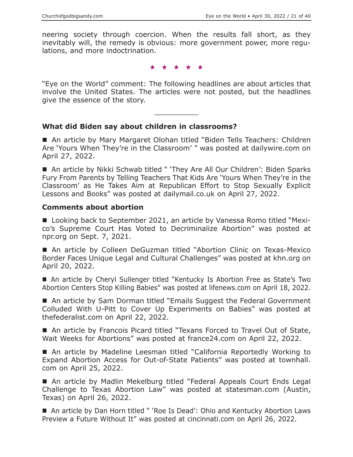neering society through coercion. When the results fall short, as they inevitably will, the remedy is obvious: more government power, more regulations, and more indoctrination.

★★★★★

"Eye on the World" comment: The following headlines are about articles that involve the United States. The articles were not posted, but the headlines give the essence of the story.

 $\overline{\phantom{a}}$  , where  $\overline{\phantom{a}}$ 

#### **What did Biden say about children in classrooms?**

■ An article by Mary Margaret Olohan titled "Biden Tells Teachers: Children Are 'Yours When They're in the Classroom' " was posted at dailywire.com on April 27, 2022.

■ An article by Nikki Schwab titled " 'They Are All Our Children': Biden Sparks Fury From Parents by Telling Teachers That Kids Are 'Yours When They're in the Classroom' as He Takes Aim at Republican Effort to Stop Sexually Explicit Lessons and Books" was posted at dailymail.co.uk on April 27, 2022.

#### **Comments about abortion**

■ Looking back to September 2021, an article by Vanessa Romo titled "Mexico's Supreme Court Has Voted to Decriminalize Abortion" was posted at npr.org on Sept. 7, 2021.

■ An article by Colleen DeGuzman titled "Abortion Clinic on Texas-Mexico Border Faces Unique Legal and Cultural Challenges" was posted at khn.org on April 20, 2022.

 An article by Cheryl Sullenger titled "Kentucky Is Abortion Free as State's Two Abortion Centers Stop Killing Babies" was posted at lifenews.com on April 18, 2022.

■ An article by Sam Dorman titled "Emails Suggest the Federal Government Colluded With U-Pitt to Cover Up Experiments on Babies" was posted at thefederalist.com on April 22, 2022.

■ An article by Francois Picard titled "Texans Forced to Travel Out of State, Wait Weeks for Abortions" was posted at france24.com on April 22, 2022.

■ An article by Madeline Leesman titled "California Reportedly Working to Expand Abortion Access for Out-of-State Patients" was posted at townhall. com on April 25, 2022.

■ An article by Madlin Mekelburg titled "Federal Appeals Court Ends Legal Challenge to Texas Abortion Law" was posted at statesman.com (Austin, Texas) on April 26, 2022.

■ An article by Dan Horn titled " 'Roe Is Dead': Ohio and Kentucky Abortion Laws Preview a Future Without It" was posted at cincinnati.com on April 26, 2022.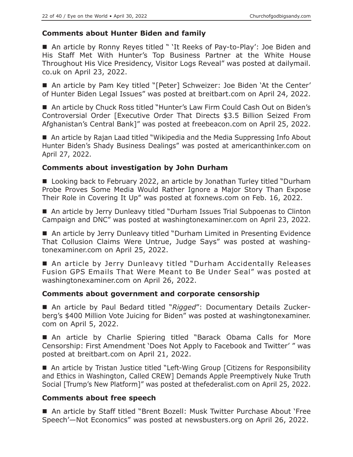# **Comments about Hunter Biden and family**

■ An article by Ronny Reyes titled " 'It Reeks of Pay-to-Play': Joe Biden and His Staff Met With Hunter's Top Business Partner at the White House Throughout His Vice Presidency, Visitor Logs Reveal" was posted at dailymail. co.uk on April 23, 2022.

■ An article by Pam Key titled "[Peter] Schweizer: Joe Biden 'At the Center' of Hunter Biden Legal Issues" was posted at breitbart.com on April 24, 2022.

■ An article by Chuck Ross titled "Hunter's Law Firm Could Cash Out on Biden's Controversial Order [Executive Order That Directs \$3.5 Billion Seized From Afghanistan's Central Bank]" was posted at freebeacon.com on April 25, 2022.

■ An article by Rajan Laad titled "Wikipedia and the Media Suppressing Info About Hunter Biden's Shady Business Dealings" was posted at americanthinker.com on April 27, 2022.

# **Comments about investigation by John Durham**

■ Looking back to February 2022, an article by Jonathan Turley titled "Durham Probe Proves Some Media Would Rather Ignore a Major Story Than Expose Their Role in Covering It Up" was posted at foxnews.com on Feb. 16, 2022.

■ An article by Jerry Dunleavy titled "Durham Issues Trial Subpoenas to Clinton Campaign and DNC" was posted at washingtonexaminer.com on April 23, 2022.

■ An article by Jerry Dunleavy titled "Durham Limited in Presenting Evidence That Collusion Claims Were Untrue, Judge Says" was posted at washingtonexaminer.com on April 25, 2022.

■ An article by Jerry Dunleavy titled "Durham Accidentally Releases Fusion GPS Emails That Were Meant to Be Under Seal" was posted at washingtonexaminer.com on April 26, 2022.

#### **Comments about government and corporate censorship**

■ An article by Paul Bedard titled "Rigged": Documentary Details Zuckerberg's \$400 Million Vote Juicing for Biden" was posted at washingtonexaminer. com on April 5, 2022.

 An article by Charlie Spiering titled "Barack Obama Calls for More Censorship: First Amendment 'Does Not Apply to Facebook and Twitter' " was posted at breitbart.com on April 21, 2022.

■ An article by Tristan Justice titled "Left-Wing Group [Citizens for Responsibility and Ethics in Washington, Called CREW] Demands Apple Preemptively Nuke Truth Social [Trump's New Platform]" was posted at thefederalist.com on April 25, 2022.

# **Comments about free speech**

 An article by Staff titled "Brent Bozell: Musk Twitter Purchase About 'Free Speech'—Not Economics" was posted at newsbusters.org on April 26, 2022.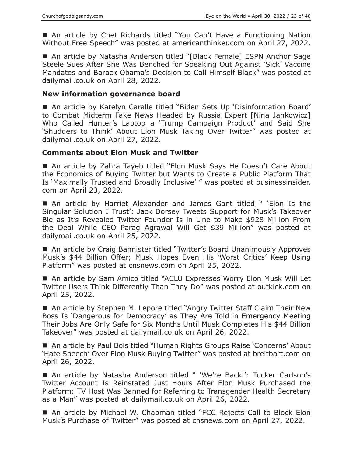■ An article by Chet Richards titled "You Can't Have a Functioning Nation Without Free Speech" was posted at americanthinker.com on April 27, 2022.

■ An article by Natasha Anderson titled "[Black Female] ESPN Anchor Sage Steele Sues After She Was Benched for Speaking Out Against 'Sick' Vaccine Mandates and Barack Obama's Decision to Call Himself Black" was posted at dailymail.co.uk on April 28, 2022.

#### **New information governance board**

 An article by Katelyn Caralle titled "Biden Sets Up 'Disinformation Board' to Combat Midterm Fake News Headed by Russia Expert [Nina Jankowicz] Who Called Hunter's Laptop a 'Trump Campaign Product' and Said She 'Shudders to Think' About Elon Musk Taking Over Twitter" was posted at dailymail.co.uk on April 27, 2022.

#### **Comments about Elon Musk and Twitter**

■ An article by Zahra Tayeb titled "Elon Musk Says He Doesn't Care About the Economics of Buying Twitter but Wants to Create a Public Platform That Is 'Maximally Trusted and Broadly Inclusive' " was posted at businessinsider. com on April 23, 2022.

 An article by Harriet Alexander and James Gant titled " 'Elon Is the Singular Solution I Trust': Jack Dorsey Tweets Support for Musk's Takeover Bid as It's Revealed Twitter Founder Is in Line to Make \$928 Million From the Deal While CEO Parag Agrawal Will Get \$39 Million" was posted at dailymail.co.uk on April 25, 2022.

■ An article by Craig Bannister titled "Twitter's Board Unanimously Approves Musk's \$44 Billion Offer; Musk Hopes Even His 'Worst Critics' Keep Using Platform" was posted at cnsnews.com on April 25, 2022.

■ An article by Sam Amico titled "ACLU Expresses Worry Elon Musk Will Let Twitter Users Think Differently Than They Do" was posted at outkick.com on April 25, 2022.

■ An article by Stephen M. Lepore titled "Angry Twitter Staff Claim Their New Boss Is 'Dangerous for Democracy' as They Are Told in Emergency Meeting Their Jobs Are Only Safe for Six Months Until Musk Completes His \$44 Billion Takeover" was posted at dailymail.co.uk on April 26, 2022.

 An article by Paul Bois titled "Human Rights Groups Raise 'Concerns' About 'Hate Speech' Over Elon Musk Buying Twitter" was posted at breitbart.com on April 26, 2022.

■ An article by Natasha Anderson titled " 'We're Back!': Tucker Carlson's Twitter Account Is Reinstated Just Hours After Elon Musk Purchased the Platform: TV Host Was Banned for Referring to Transgender Health Secretary as a Man" was posted at dailymail.co.uk on April 26, 2022.

■ An article by Michael W. Chapman titled "FCC Rejects Call to Block Elon Musk's Purchase of Twitter" was posted at cnsnews.com on April 27, 2022.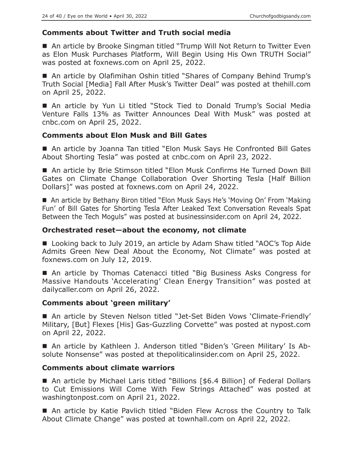# **Comments about Twitter and Truth social media**

■ An article by Brooke Singman titled "Trump Will Not Return to Twitter Even as Elon Musk Purchases Platform, Will Begin Using His Own TRUTH Social" was posted at foxnews.com on April 25, 2022.

■ An article by Olafimihan Oshin titled "Shares of Company Behind Trump's Truth Social [Media] Fall After Musk's Twitter Deal" was posted at thehill.com on April 25, 2022.

 An article by Yun Li titled "Stock Tied to Donald Trump's Social Media Venture Falls 13% as Twitter Announces Deal With Musk" was posted at cnbc.com on April 25, 2022.

# **Comments about Elon Musk and Bill Gates**

■ An article by Joanna Tan titled "Elon Musk Says He Confronted Bill Gates About Shorting Tesla" was posted at cnbc.com on April 23, 2022.

■ An article by Brie Stimson titled "Elon Musk Confirms He Turned Down Bill Gates on Climate Change Collaboration Over Shorting Tesla [Half Billion Dollars]" was posted at foxnews.com on April 24, 2022.

■ An article by Bethany Biron titled "Elon Musk Says He's 'Moving On' From 'Making Fun' of Bill Gates for Shorting Tesla After Leaked Text Conversation Reveals Spat Between the Tech Moguls" was posted at businessinsider.com on April 24, 2022.

# **Orchestrated reset—about the economy, not climate**

■ Looking back to July 2019, an article by Adam Shaw titled "AOC's Top Aide Admits Green New Deal About the Economy, Not Climate" was posted at foxnews.com on July 12, 2019.

■ An article by Thomas Catenacci titled "Big Business Asks Congress for Massive Handouts 'Accelerating' Clean Energy Transition" was posted at dailycaller.com on April 26, 2022.

# **Comments about 'green military'**

 An article by Steven Nelson titled "Jet-Set Biden Vows 'Climate-Friendly' Military, [But] Flexes [His] Gas-Guzzling Corvette" was posted at nypost.com on April 22, 2022.

 An article by Kathleen J. Anderson titled "Biden's 'Green Military' Is Absolute Nonsense" was posted at thepoliticalinsider.com on April 25, 2022.

# **Comments about climate warriors**

■ An article by Michael Laris titled "Billions [\$6.4 Billion] of Federal Dollars to Cut Emissions Will Come With Few Strings Attached" was posted at washingtonpost.com on April 21, 2022.

■ An article by Katie Pavlich titled "Biden Flew Across the Country to Talk About Climate Change" was posted at townhall.com on April 22, 2022.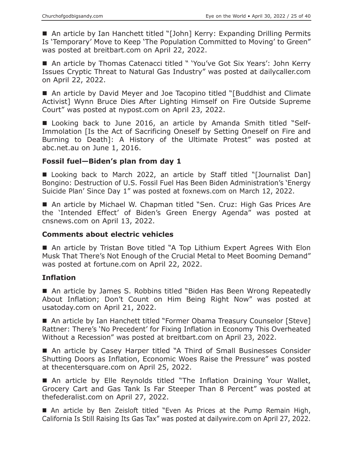■ An article by Ian Hanchett titled "[John] Kerry: Expanding Drilling Permits Is 'Temporary' Move to Keep 'The Population Committed to Moving' to Green" was posted at breitbart.com on April 22, 2022.

■ An article by Thomas Catenacci titled " 'You've Got Six Years': John Kerry Issues Cryptic Threat to Natural Gas Industry" was posted at dailycaller.com on April 22, 2022.

■ An article by David Meyer and Joe Tacopino titled "[Buddhist and Climate Activist] Wynn Bruce Dies After Lighting Himself on Fire Outside Supreme Court" was posted at nypost.com on April 23, 2022.

■ Looking back to June 2016, an article by Amanda Smith titled "Self-Immolation [Is the Act of Sacrificing Oneself by Setting Oneself on Fire and Burning to Death]: A History of the Ultimate Protest" was posted at abc.net.au on June 1, 2016.

# **Fossil fuel—Biden's plan from day 1**

■ Looking back to March 2022, an article by Staff titled "[Journalist Dan] Bongino: Destruction of U.S. Fossil Fuel Has Been Biden Administration's 'Energy Suicide Plan' Since Day 1" was posted at foxnews.com on March 12, 2022.

■ An article by Michael W. Chapman titled "Sen. Cruz: High Gas Prices Are the 'Intended Effect' of Biden's Green Energy Agenda" was posted at cnsnews.com on April 13, 2022.

# **Comments about electric vehicles**

■ An article by Tristan Bove titled "A Top Lithium Expert Agrees With Elon Musk That There's Not Enough of the Crucial Metal to Meet Booming Demand" was posted at fortune.com on April 22, 2022.

# **Inflation**

■ An article by James S. Robbins titled "Biden Has Been Wrong Repeatedly About Inflation; Don't Count on Him Being Right Now" was posted at usatoday.com on April 21, 2022.

■ An article by Ian Hanchett titled "Former Obama Treasury Counselor [Steve] Rattner: There's 'No Precedent' for Fixing Inflation in Economy This Overheated Without a Recession" was posted at breitbart.com on April 23, 2022.

■ An article by Casey Harper titled "A Third of Small Businesses Consider Shutting Doors as Inflation, Economic Woes Raise the Pressure" was posted at thecentersquare.com on April 25, 2022.

■ An article by Elle Reynolds titled "The Inflation Draining Your Wallet, Grocery Cart and Gas Tank Is Far Steeper Than 8 Percent" was posted at thefederalist.com on April 27, 2022.

 An article by Ben Zeisloft titled "Even As Prices at the Pump Remain High, California Is Still Raising Its Gas Tax" was posted at dailywire.com on April 27, 2022.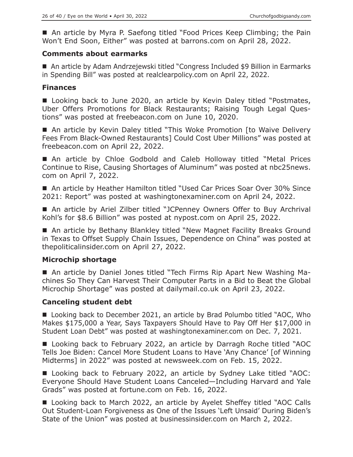■ An article by Myra P. Saefong titled "Food Prices Keep Climbing; the Pain Won't End Soon, Either" was posted at barrons.com on April 28, 2022.

## **Comments about earmarks**

■ An article by Adam Andrzejewski titled "Congress Included \$9 Billion in Earmarks in Spending Bill" was posted at realclearpolicy.com on April 22, 2022.

#### **Finances**

■ Looking back to June 2020, an article by Kevin Daley titled "Postmates, Uber Offers Promotions for Black Restaurants; Raising Tough Legal Questions" was posted at freebeacon.com on June 10, 2020.

■ An article by Kevin Daley titled "This Woke Promotion [to Waive Delivery Fees From Black-Owned Restaurants] Could Cost Uber Millions" was posted at freebeacon.com on April 22, 2022.

■ An article by Chloe Godbold and Caleb Holloway titled "Metal Prices Continue to Rise, Causing Shortages of Aluminum" was posted at nbc25news. com on April 7, 2022.

■ An article by Heather Hamilton titled "Used Car Prices Soar Over 30% Since 2021: Report" was posted at washingtonexaminer.com on April 24, 2022.

■ An article by Ariel Zilber titled "JCPenney Owners Offer to Buy Archrival Kohl's for \$8.6 Billion" was posted at nypost.com on April 25, 2022.

■ An article by Bethany Blankley titled "New Magnet Facility Breaks Ground in Texas to Offset Supply Chain Issues, Dependence on China" was posted at thepoliticalinsider.com on April 27, 2022.

# **Microchip shortage**

 An article by Daniel Jones titled "Tech Firms Rip Apart New Washing Machines So They Can Harvest Their Computer Parts in a Bid to Beat the Global Microchip Shortage" was posted at dailymail.co.uk on April 23, 2022.

# **Canceling student debt**

■ Looking back to December 2021, an article by Brad Polumbo titled "AOC, Who Makes \$175,000 a Year, Says Taxpayers Should Have to Pay Off Her \$17,000 in Student Loan Debt" was posted at washingtonexaminer.com on Dec. 7, 2021.

■ Looking back to February 2022, an article by Darragh Roche titled "AOC Tells Joe Biden: Cancel More Student Loans to Have 'Any Chance' [of Winning Midterms] in 2022" was posted at newsweek.com on Feb. 15, 2022.

■ Looking back to February 2022, an article by Sydney Lake titled "AOC: Everyone Should Have Student Loans Canceled—Including Harvard and Yale Grads" was posted at fortune.com on Feb. 16, 2022.

■ Looking back to March 2022, an article by Ayelet Sheffey titled "AOC Calls Out Student-Loan Forgiveness as One of the Issues 'Left Unsaid' During Biden's State of the Union" was posted at businessinsider.com on March 2, 2022.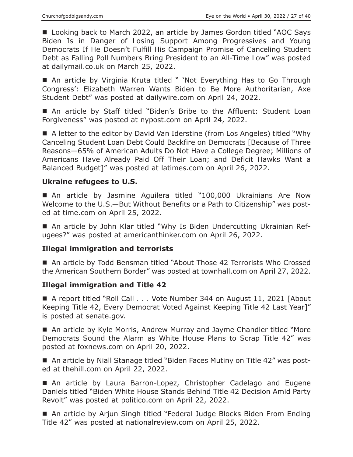■ Looking back to March 2022, an article by James Gordon titled "AOC Says Biden Is in Danger of Losing Support Among Progressives and Young Democrats If He Doesn't Fulfill His Campaign Promise of Canceling Student Debt as Falling Poll Numbers Bring President to an All-Time Low" was posted at dailymail.co.uk on March 25, 2022.

■ An article by Virginia Kruta titled " 'Not Everything Has to Go Through Congress': Elizabeth Warren Wants Biden to Be More Authoritarian, Axe Student Debt" was posted at dailywire.com on April 24, 2022.

■ An article by Staff titled "Biden's Bribe to the Affluent: Student Loan Forgiveness" was posted at nypost.com on April 24, 2022.

■ A letter to the editor by David Van Iderstine (from Los Angeles) titled "Why Canceling Student Loan Debt Could Backfire on Democrats [Because of Three Reasons—65% of American Adults Do Not Have a College Degree; Millions of Americans Have Already Paid Off Their Loan; and Deficit Hawks Want a Balanced Budget]" was posted at latimes.com on April 26, 2022.

# **Ukraine refugees to U.S.**

 An article by Jasmine Aguilera titled "100,000 Ukrainians Are Now Welcome to the U.S.—But Without Benefits or a Path to Citizenship" was posted at time.com on April 25, 2022.

 An article by John Klar titled "Why Is Biden Undercutting Ukrainian Refugees?" was posted at americanthinker.com on April 26, 2022.

# **Illegal immigration and terrorists**

■ An article by Todd Bensman titled "About Those 42 Terrorists Who Crossed the American Southern Border" was posted at townhall.com on April 27, 2022.

# **Illegal immigration and Title 42**

■ A report titled "Roll Call . . . Vote Number 344 on August 11, 2021 [About Keeping Title 42, Every Democrat Voted Against Keeping Title 42 Last Year]" is posted at senate.gov.

■ An article by Kyle Morris, Andrew Murray and Jayme Chandler titled "More Democrats Sound the Alarm as White House Plans to Scrap Title 42" was posted at foxnews.com on April 20, 2022.

■ An article by Niall Stanage titled "Biden Faces Mutiny on Title 42" was posted at thehill.com on April 22, 2022.

 An article by Laura Barron-Lopez, Christopher Cadelago and Eugene Daniels titled "Biden White House Stands Behind Title 42 Decision Amid Party Revolt" was posted at politico.com on April 22, 2022.

■ An article by Arjun Singh titled "Federal Judge Blocks Biden From Ending Title 42" was posted at nationalreview.com on April 25, 2022.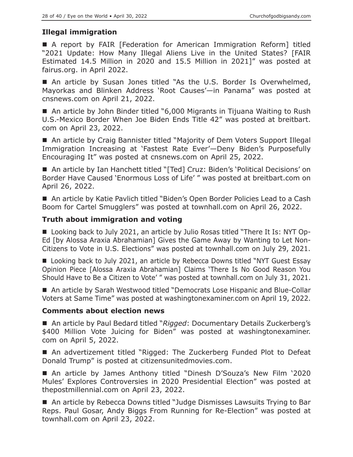# **Illegal immigration**

 A report by FAIR [Federation for American Immigration Reform] titled "2021 Update: How Many Illegal Aliens Live in the United States? [FAIR Estimated 14.5 Million in 2020 and 15.5 Million in 2021]" was posted at fairus.org. in April 2022.

■ An article by Susan Jones titled "As the U.S. Border Is Overwhelmed, Mayorkas and Blinken Address 'Root Causes'—in Panama" was posted at cnsnews.com on April 21, 2022.

■ An article by John Binder titled "6,000 Migrants in Tijuana Waiting to Rush U.S.-Mexico Border When Joe Biden Ends Title 42" was posted at breitbart. com on April 23, 2022.

■ An article by Craig Bannister titled "Majority of Dem Voters Support Illegal Immigration Increasing at 'Fastest Rate Ever'—Deny Biden's Purposefully Encouraging It" was posted at cnsnews.com on April 25, 2022.

■ An article by Ian Hanchett titled "[Ted] Cruz: Biden's 'Political Decisions' on Border Have Caused 'Enormous Loss of Life' " was posted at breitbart.com on April 26, 2022.

■ An article by Katie Pavlich titled "Biden's Open Border Policies Lead to a Cash Boom for Cartel Smugglers" was posted at townhall.com on April 26, 2022.

# **Truth about immigration and voting**

■ Looking back to July 2021, an article by Julio Rosas titled "There It Is: NYT Op-Ed [by Alossa Araxia Abrahamian] Gives the Game Away by Wanting to Let Non-Citizens to Vote in U.S. Elections" was posted at townhall.com on July 29, 2021.

■ Looking back to July 2021, an article by Rebecca Downs titled "NYT Guest Essay Opinion Piece [Alossa Araxia Abrahamian] Claims 'There Is No Good Reason You Should Have to Be a Citizen to Vote' " was posted at townhall.com on July 31, 2021.

■ An article by Sarah Westwood titled "Democrats Lose Hispanic and Blue-Collar Voters at Same Time" was posted at washingtonexaminer.com on April 19, 2022.

# **Comments about election news**

■ An article by Paul Bedard titled "*Rigged*: Documentary Details Zuckerberg's \$400 Million Vote Juicing for Biden" was posted at washingtonexaminer. com on April 5, 2022.

■ An advertizement titled "Rigged: The Zuckerberg Funded Plot to Defeat Donald Trump" is posted at citizensunitedmovies.com.

 An article by James Anthony titled "Dinesh D'Souza's New Film '2020 Mules' Explores Controversies in 2020 Presidential Election" was posted at thepostmillennial.com on April 23, 2022.

■ An article by Rebecca Downs titled "Judge Dismisses Lawsuits Trying to Bar Reps. Paul Gosar, Andy Biggs From Running for Re-Election" was posted at townhall.com on April 23, 2022.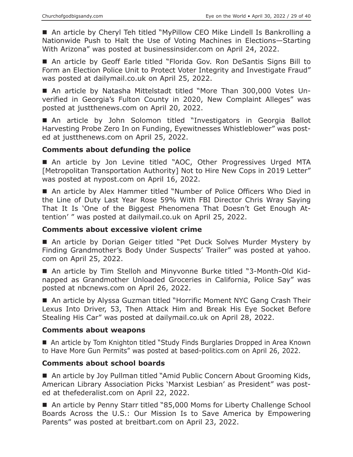■ An article by Cheryl Teh titled "MyPillow CEO Mike Lindell Is Bankrolling a Nationwide Push to Halt the Use of Voting Machines in Elections—Starting With Arizona" was posted at businessinsider.com on April 24, 2022.

 An article by Geoff Earle titled "Florida Gov. Ron DeSantis Signs Bill to Form an Election Police Unit to Protect Voter Integrity and Investigate Fraud" was posted at dailymail.co.uk on April 25, 2022.

 An article by Natasha Mittelstadt titled "More Than 300,000 Votes Unverified in Georgia's Fulton County in 2020, New Complaint Alleges" was posted at justthenews.com on April 20, 2022.

 An article by John Solomon titled "Investigators in Georgia Ballot Harvesting Probe Zero In on Funding, Eyewitnesses Whistleblower" was posted at justthenews.com on April 25, 2022.

# **Comments about defunding the police**

■ An article by Jon Levine titled "AOC, Other Progressives Urged MTA [Metropolitan Transportation Authority] Not to Hire New Cops in 2019 Letter" was posted at nypost.com on April 16, 2022.

■ An article by Alex Hammer titled "Number of Police Officers Who Died in the Line of Duty Last Year Rose 59% With FBI Director Chris Wray Saying That It Is 'One of the Biggest Phenomena That Doesn't Get Enough Attention' " was posted at dailymail.co.uk on April 25, 2022.

## **Comments about excessive violent crime**

■ An article by Dorian Geiger titled "Pet Duck Solves Murder Mystery by Finding Grandmother's Body Under Suspects' Trailer" was posted at yahoo. com on April 25, 2022.

 An article by Tim Stelloh and Minyvonne Burke titled "3-Month-Old Kidnapped as Grandmother Unloaded Groceries in California, Police Say" was posted at nbcnews.com on April 26, 2022.

■ An article by Alyssa Guzman titled "Horrific Moment NYC Gang Crash Their Lexus Into Driver, 53, Then Attack Him and Break His Eye Socket Before Stealing His Car" was posted at dailymail.co.uk on April 28, 2022.

# **Comments about weapons**

■ An article by Tom Knighton titled "Study Finds Burglaries Dropped in Area Known to Have More Gun Permits" was posted at based-politics.com on April 26, 2022.

# **Comments about school boards**

■ An article by Joy Pullman titled "Amid Public Concern About Grooming Kids, American Library Association Picks 'Marxist Lesbian' as President" was posted at thefederalist.com on April 22, 2022.

■ An article by Penny Starr titled "85,000 Moms for Liberty Challenge School Boards Across the U.S.: Our Mission Is to Save America by Empowering Parents" was posted at breitbart.com on April 23, 2022.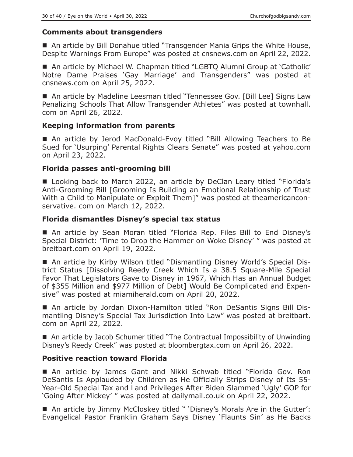# **Comments about transgenders**

■ An article by Bill Donahue titled "Transgender Mania Grips the White House, Despite Warnings From Europe" was posted at cnsnews.com on April 22, 2022.

■ An article by Michael W. Chapman titled "LGBTO Alumni Group at 'Catholic' Notre Dame Praises 'Gay Marriage' and Transgenders" was posted at cnsnews.com on April 25, 2022.

■ An article by Madeline Leesman titled "Tennessee Gov. [Bill Lee] Signs Law Penalizing Schools That Allow Transgender Athletes" was posted at townhall. com on April 26, 2022.

#### **Keeping information from parents**

■ An article by Jerod MacDonald-Evoy titled "Bill Allowing Teachers to Be Sued for 'Usurping' Parental Rights Clears Senate" was posted at yahoo.com on April 23, 2022.

# **Florida passes anti-grooming bill**

■ Looking back to March 2022, an article by DeClan Leary titled "Florida's Anti-Grooming Bill [Grooming Is Building an Emotional Relationship of Trust With a Child to Manipulate or Exploit Them]" was posted at theamericanconservative. com on March 12, 2022.

#### **Florida dismantles Disney's special tax status**

■ An article by Sean Moran titled "Florida Rep. Files Bill to End Disney's Special District: 'Time to Drop the Hammer on Woke Disney' " was posted at breitbart.com on April 19, 2022.

 An article by Kirby Wilson titled "Dismantling Disney World's Special District Status [Dissolving Reedy Creek Which Is a 38.5 Square-Mile Special Favor That Legislators Gave to Disney in 1967, Which Has an Annual Budget of \$355 Million and \$977 Million of Debt] Would Be Complicated and Expensive" was posted at miamiherald.com on April 20, 2022.

 An article by Jordan Dixon-Hamilton titled "Ron DeSantis Signs Bill Dismantling Disney's Special Tax Jurisdiction Into Law" was posted at breitbart. com on April 22, 2022.

■ An article by Jacob Schumer titled "The Contractual Impossibility of Unwinding Disney's Reedy Creek" was posted at bloombergtax.com on April 26, 2022.

# **Positive reaction toward Florida**

 An article by James Gant and Nikki Schwab titled "Florida Gov. Ron DeSantis Is Applauded by Children as He Officially Strips Disney of Its 55- Year-Old Special Tax and Land Privileges After Biden Slammed 'Ugly' GOP for 'Going After Mickey' " was posted at dailymail.co.uk on April 22, 2022.

■ An article by Jimmy McCloskey titled " 'Disney's Morals Are in the Gutter': Evangelical Pastor Franklin Graham Says Disney 'Flaunts Sin' as He Backs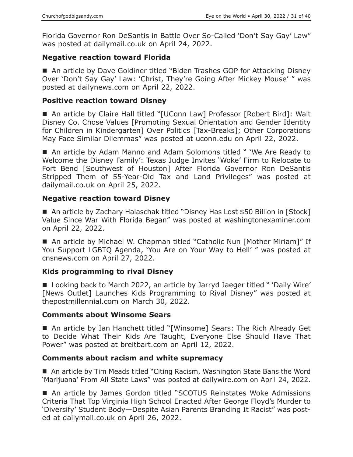Florida Governor Ron DeSantis in Battle Over So-Called 'Don't Say Gay' Law" was posted at dailymail.co.uk on April 24, 2022.

# **Negative reaction toward Florida**

■ An article by Dave Goldiner titled "Biden Trashes GOP for Attacking Disney Over 'Don't Say Gay' Law: 'Christ, They're Going After Mickey Mouse' " was posted at dailynews.com on April 22, 2022.

# **Positive reaction toward Disney**

■ An article by Claire Hall titled "[UConn Law] Professor [Robert Bird]: Walt Disney Co. Chose Values [Promoting Sexual Orientation and Gender Identity for Children in Kindergarten] Over Politics [Tax-Breaks]; Other Corporations May Face Similar Dilemmas" was posted at uconn.edu on April 22, 2022.

■ An article by Adam Manno and Adam Solomons titled " 'We Are Ready to Welcome the Disney Family': Texas Judge Invites 'Woke' Firm to Relocate to Fort Bend [Southwest of Houston] After Florida Governor Ron DeSantis Stripped Them of 55-Year-Old Tax and Land Privileges" was posted at dailymail.co.uk on April 25, 2022.

# **Negative reaction toward Disney**

■ An article by Zachary Halaschak titled "Disney Has Lost \$50 Billion in [Stock] Value Since War With Florida Began" was posted at washingtonexaminer.com on April 22, 2022.

■ An article by Michael W. Chapman titled "Catholic Nun [Mother Miriam]" If You Support LGBTQ Agenda, 'You Are on Your Way to Hell' " was posted at cnsnews.com on April 27, 2022.

# **Kids programming to rival Disney**

■ Looking back to March 2022, an article by Jarryd Jaeger titled " 'Daily Wire' [News Outlet] Launches Kids Programming to Rival Disney" was posted at thepostmillennial.com on March 30, 2022.

# **Comments about Winsome Sears**

■ An article by Ian Hanchett titled "[Winsome] Sears: The Rich Already Get to Decide What Their Kids Are Taught, Everyone Else Should Have That Power" was posted at breitbart.com on April 12, 2022.

# **Comments about racism and white supremacy**

■ An article by Tim Meads titled "Citing Racism, Washington State Bans the Word 'Marijuana' From All State Laws" was posted at dailywire.com on April 24, 2022.

■ An article by James Gordon titled "SCOTUS Reinstates Woke Admissions Criteria That Top Virginia High School Enacted After George Floyd's Murder to 'Diversify' Student Body—Despite Asian Parents Branding It Racist" was posted at dailymail.co.uk on April 26, 2022.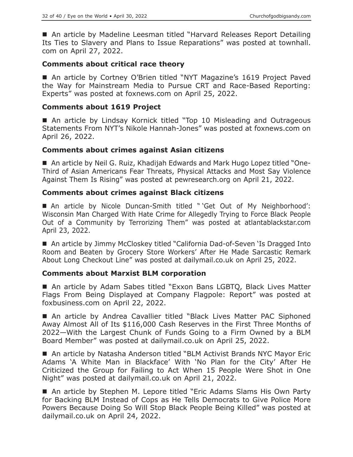■ An article by Madeline Leesman titled "Harvard Releases Report Detailing Its Ties to Slavery and Plans to Issue Reparations" was posted at townhall. com on April 27, 2022.

# **Comments about critical race theory**

■ An article by Cortney O'Brien titled "NYT Magazine's 1619 Project Paved the Way for Mainstream Media to Pursue CRT and Race-Based Reporting: Experts" was posted at foxnews.com on April 25, 2022.

# **Comments about 1619 Project**

■ An article by Lindsay Kornick titled "Top 10 Misleading and Outrageous Statements From NYT's Nikole Hannah-Jones" was posted at foxnews.com on April 26, 2022.

# **Comments about crimes against Asian citizens**

 An article by Neil G. Ruiz, Khadijah Edwards and Mark Hugo Lopez titled "One-Third of Asian Americans Fear Threats, Physical Attacks and Most Say Violence Against Them Is Rising" was posted at pewresearch.org on April 21, 2022.

# **Comments about crimes against Black citizens**

■ An article by Nicole Duncan-Smith titled "'Get Out of My Neighborhood': Wisconsin Man Charged With Hate Crime for Allegedly Trying to Force Black People Out of a Community by Terrorizing Them" was posted at atlantablackstar.com April 23, 2022.

■ An article by Jimmy McCloskey titled "California Dad-of-Seven 'Is Dragged Into Room and Beaten by Grocery Store Workers' After He Made Sarcastic Remark About Long Checkout Line" was posted at dailymail.co.uk on April 25, 2022.

# **Comments about Marxist BLM corporation**

■ An article by Adam Sabes titled "Exxon Bans LGBTQ, Black Lives Matter Flags From Being Displayed at Company Flagpole: Report" was posted at foxbusiness.com on April 22, 2022.

 An article by Andrea Cavallier titled "Black Lives Matter PAC Siphoned Away Almost All of Its \$116,000 Cash Reserves in the First Three Months of 2022—With the Largest Chunk of Funds Going to a Firm Owned by a BLM Board Member" was posted at dailymail.co.uk on April 25, 2022.

■ An article by Natasha Anderson titled "BLM Activist Brands NYC Mayor Eric Adams 'A White Man in Blackface' With 'No Plan for the City' After He Criticized the Group for Failing to Act When 15 People Were Shot in One Night" was posted at dailymail.co.uk on April 21, 2022.

■ An article by Stephen M. Lepore titled "Eric Adams Slams His Own Party for Backing BLM Instead of Cops as He Tells Democrats to Give Police More Powers Because Doing So Will Stop Black People Being Killed" was posted at dailymail.co.uk on April 24, 2022.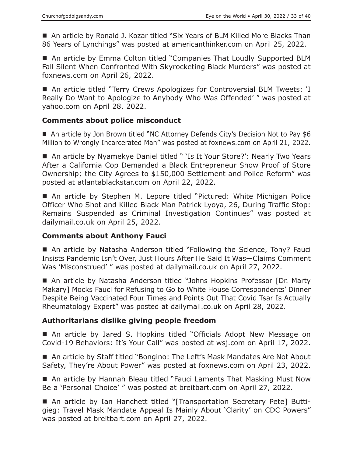■ An article by Ronald J. Kozar titled "Six Years of BLM Killed More Blacks Than 86 Years of Lynchings" was posted at americanthinker.com on April 25, 2022.

■ An article by Emma Colton titled "Companies That Loudly Supported BLM Fall Silent When Confronted With Skyrocketing Black Murders" was posted at foxnews.com on April 26, 2022.

■ An article titled "Terry Crews Apologizes for Controversial BLM Tweets: 'I Really Do Want to Apologize to Anybody Who Was Offended' " was posted at yahoo.com on April 28, 2022.

# **Comments about police misconduct**

■ An article by Jon Brown titled "NC Attorney Defends City's Decision Not to Pay \$6 Million to Wrongly Incarcerated Man" was posted at foxnews.com on April 21, 2022.

■ An article by Nyamekye Daniel titled " 'Is It Your Store?': Nearly Two Years After a California Cop Demanded a Black Entrepreneur Show Proof of Store Ownership; the City Agrees to \$150,000 Settlement and Police Reform" was posted at atlantablackstar.com on April 22, 2022.

■ An article by Stephen M. Lepore titled "Pictured: White Michigan Police Officer Who Shot and Killed Black Man Patrick Lyoya, 26, During Traffic Stop: Remains Suspended as Criminal Investigation Continues" was posted at dailymail.co.uk on April 25, 2022.

# **Comments about Anthony Fauci**

■ An article by Natasha Anderson titled "Following the Science, Tony? Fauci Insists Pandemic Isn't Over, Just Hours After He Said It Was—Claims Comment Was 'Misconstrued' " was posted at dailymail.co.uk on April 27, 2022.

■ An article by Natasha Anderson titled "Johns Hopkins Professor [Dr. Marty Makary] Mocks Fauci for Refusing to Go to White House Correspondents' Dinner Despite Being Vaccinated Four Times and Points Out That Covid Tsar Is Actually Rheumatology Expert" was posted at dailymail.co.uk on April 28, 2022.

# **Authoritarians dislike giving people freedom**

■ An article by Jared S. Hopkins titled "Officials Adopt New Message on Covid-19 Behaviors: It's Your Call" was posted at wsj.com on April 17, 2022.

■ An article by Staff titled "Bongino: The Left's Mask Mandates Are Not About Safety, They're About Power" was posted at foxnews.com on April 23, 2022.

■ An article by Hannah Bleau titled "Fauci Laments That Masking Must Now Be a 'Personal Choice' " was posted at breitbart.com on April 27, 2022.

 An article by Ian Hanchett titled "[Transportation Secretary Pete] Buttigieg: Travel Mask Mandate Appeal Is Mainly About 'Clarity' on CDC Powers" was posted at breitbart.com on April 27, 2022.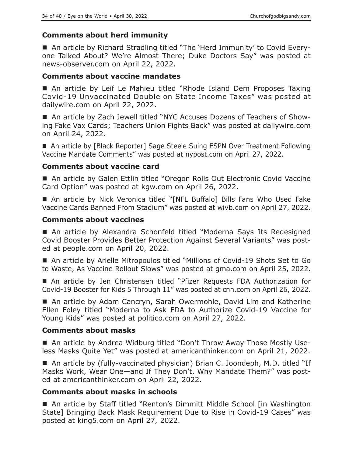# **Comments about herd immunity**

■ An article by Richard Stradling titled "The 'Herd Immunity' to Covid Everyone Talked About? We're Almost There; Duke Doctors Say" was posted at news-observer.com on April 22, 2022.

#### **Comments about vaccine mandates**

■ An article by Leif Le Mahieu titled "Rhode Island Dem Proposes Taxing Covid-19 Unvaccinated Double on State Income Taxes" was posted at dailywire.com on April 22, 2022.

■ An article by Zach Jewell titled "NYC Accuses Dozens of Teachers of Showing Fake Vax Cards; Teachers Union Fights Back" was posted at dailywire.com on April 24, 2022.

■ An article by [Black Reporter] Sage Steele Suing ESPN Over Treatment Following Vaccine Mandate Comments" was posted at nypost.com on April 27, 2022.

#### **Comments about vaccine card**

■ An article by Galen Ettlin titled "Oregon Rolls Out Electronic Covid Vaccine Card Option" was posted at kgw.com on April 26, 2022.

■ An article by Nick Veronica titled "[NFL Buffalo] Bills Fans Who Used Fake Vaccine Cards Banned From Stadium" was posted at wivb.com on April 27, 2022.

#### **Comments about vaccines**

 An article by Alexandra Schonfeld titled "Moderna Says Its Redesigned Covid Booster Provides Better Protection Against Several Variants" was posted at people.com on April 20, 2022.

■ An article by Arielle Mitropoulos titled "Millions of Covid-19 Shots Set to Go to Waste, As Vaccine Rollout Slows" was posted at gma.com on April 25, 2022.

 An article by Jen Christensen titled "Pfizer Requests FDA Authorization for Covid-19 Booster for Kids 5 Through 11" was posted at cnn.com on April 26, 2022.

■ An article by Adam Cancryn, Sarah Owermohle, David Lim and Katherine Ellen Foley titled "Moderna to Ask FDA to Authorize Covid-19 Vaccine for Young Kids" was posted at politico.com on April 27, 2022.

#### **Comments about masks**

■ An article by Andrea Widburg titled "Don't Throw Away Those Mostly Useless Masks Quite Yet" was posted at americanthinker.com on April 21, 2022.

■ An article by (fully-vaccinated physician) Brian C. Joondeph, M.D. titled "If Masks Work, Wear One—and If They Don't, Why Mandate Them?" was posted at americanthinker.com on April 22, 2022.

# **Comments about masks in schools**

■ An article by Staff titled "Renton's Dimmitt Middle School [in Washington State] Bringing Back Mask Requirement Due to Rise in Covid-19 Cases" was posted at king5.com on April 27, 2022.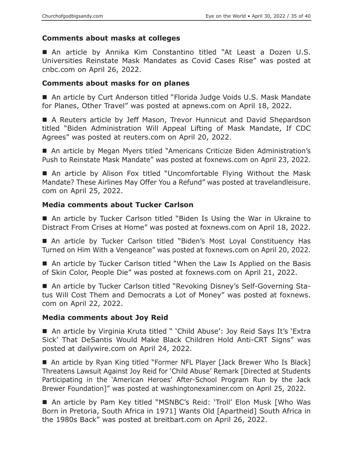# **Comments about masks at colleges**

 An article by Annika Kim Constantino titled "At Least a Dozen U.S. Universities Reinstate Mask Mandates as Covid Cases Rise" was posted at cnbc.com on April 26, 2022.

# **Comments about masks for on planes**

■ An article by Curt Anderson titled "Florida Judge Voids U.S. Mask Mandate for Planes, Other Travel" was posted at apnews.com on April 18, 2022.

■ A Reuters article by Jeff Mason, Trevor Hunnicut and David Shepardson titled "Biden Administration Will Appeal Lifting of Mask Mandate, If CDC Agrees" was posted at reuters.com on April 20, 2022.

 An article by Megan Myers titled "Americans Criticize Biden Administration's Push to Reinstate Mask Mandate" was posted at foxnews.com on April 23, 2022.

 An article by Alison Fox titled "Uncomfortable Flying Without the Mask Mandate? These Airlines May Offer You a Refund" was posted at travelandleisure. com on April 25, 2022.

# **Media comments about Tucker Carlson**

■ An article by Tucker Carlson titled "Biden Is Using the War in Ukraine to Distract From Crises at Home" was posted at foxnews.com on April 18, 2022.

■ An article by Tucker Carlson titled "Biden's Most Loyal Constituency Has Turned on Him With a Vengeance" was posted at foxnews.com on April 20, 2022.

■ An article by Tucker Carlson titled "When the Law Is Applied on the Basis of Skin Color, People Die" was posted at foxnews.com on April 21, 2022.

■ An article by Tucker Carlson titled "Revoking Disney's Self-Governing Status Will Cost Them and Democrats a Lot of Money" was posted at foxnews. com on April 22, 2022.

# **Media comments about Joy Reid**

■ An article by Virginia Kruta titled " 'Child Abuse': Joy Reid Says It's 'Extra Sick' That DeSantis Would Make Black Children Hold Anti-CRT Signs" was posted at dailywire.com on April 24, 2022.

■ An article by Ryan King titled "Former NFL Player [Jack Brewer Who Is Black] Threatens Lawsuit Against Joy Reid for 'Child Abuse' Remark [Directed at Students Participating in the 'American Heroes' After-School Program Run by the Jack Brewer Foundation]" was posted at washingtonexaminer.com on April 25, 2022.

 An article by Pam Key titled "MSNBC's Reid: 'Troll' Elon Musk [Who Was Born in Pretoria, South Africa in 1971] Wants Old [Apartheid] South Africa in the 1980s Back" was posted at breitbart.com on April 26, 2022.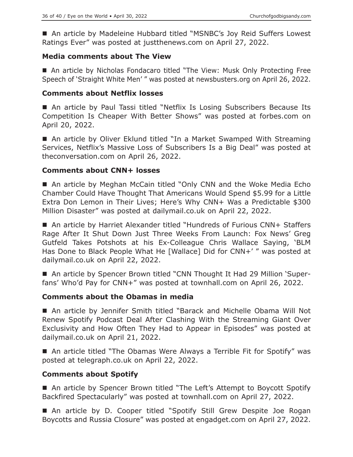■ An article by Madeleine Hubbard titled "MSNBC's Joy Reid Suffers Lowest Ratings Ever" was posted at justthenews.com on April 27, 2022.

# **Media comments about The View**

 An article by Nicholas Fondacaro titled "The View: Musk Only Protecting Free Speech of 'Straight White Men' " was posted at newsbusters.org on April 26, 2022.

# **Comments about Netflix losses**

 An article by Paul Tassi titled "Netflix Is Losing Subscribers Because Its Competition Is Cheaper With Better Shows" was posted at forbes.com on April 20, 2022.

■ An article by Oliver Eklund titled "In a Market Swamped With Streaming Services, Netflix's Massive Loss of Subscribers Is a Big Deal" was posted at theconversation.com on April 26, 2022.

# **Comments about CNN+ losses**

■ An article by Meghan McCain titled "Only CNN and the Woke Media Echo Chamber Could Have Thought That Americans Would Spend \$5.99 for a Little Extra Don Lemon in Their Lives; Here's Why CNN+ Was a Predictable \$300 Million Disaster" was posted at dailymail.co.uk on April 22, 2022.

■ An article by Harriet Alexander titled "Hundreds of Furious CNN+ Staffers Rage After It Shut Down Just Three Weeks From Launch: Fox News' Greg Gutfeld Takes Potshots at his Ex-Colleague Chris Wallace Saying, 'BLM Has Done to Black People What He [Wallace] Did for CNN+' " was posted at dailymail.co.uk on April 22, 2022.

■ An article by Spencer Brown titled "CNN Thought It Had 29 Million 'Superfans' Who'd Pay for CNN+" was posted at townhall.com on April 26, 2022.

# **Comments about the Obamas in media**

 An article by Jennifer Smith titled "Barack and Michelle Obama Will Not Renew Spotify Podcast Deal After Clashing With the Streaming Giant Over Exclusivity and How Often They Had to Appear in Episodes" was posted at dailymail.co.uk on April 21, 2022.

■ An article titled "The Obamas Were Always a Terrible Fit for Spotify" was posted at telegraph.co.uk on April 22, 2022.

# **Comments about Spotify**

■ An article by Spencer Brown titled "The Left's Attempt to Boycott Spotify Backfired Spectacularly" was posted at townhall.com on April 27, 2022.

■ An article by D. Cooper titled "Spotify Still Grew Despite Joe Rogan Boycotts and Russia Closure" was posted at engadget.com on April 27, 2022.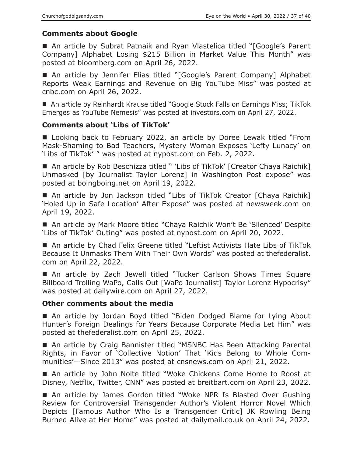# **Comments about Google**

■ An article by Subrat Patnaik and Ryan Vlastelica titled "[Google's Parent Company] Alphabet Losing \$215 Billion in Market Value This Month" was posted at bloomberg.com on April 26, 2022.

■ An article by Jennifer Elias titled "[Google's Parent Company] Alphabet Reports Weak Earnings and Revenue on Big YouTube Miss" was posted at cnbc.com on April 26, 2022.

■ An article by Reinhardt Krause titled "Google Stock Falls on Earnings Miss; TikTok Emerges as YouTube Nemesis" was posted at investors.com on April 27, 2022.

# **Comments about 'Libs of TikTok'**

■ Looking back to February 2022, an article by Doree Lewak titled "From Mask-Shaming to Bad Teachers, Mystery Woman Exposes 'Lefty Lunacy' on 'Libs of TikTok' " was posted at nypost.com on Feb. 2, 2022.

■ An article by Rob Beschizza titled " 'Libs of TikTok' [Creator Chaya Raichik] Unmasked [by Journalist Taylor Lorenz] in Washington Post expose" was posted at boingboing.net on April 19, 2022.

■ An article by Jon Jackson titled "Libs of TikTok Creator [Chaya Raichik] 'Holed Up in Safe Location' After Expose" was posted at newsweek.com on April 19, 2022.

■ An article by Mark Moore titled "Chaya Raichik Won't Be 'Silenced' Despite 'Libs of TikTok' Outing" was posted at nypost.com on April 20, 2022.

■ An article by Chad Felix Greene titled "Leftist Activists Hate Libs of TikTok Because It Unmasks Them With Their Own Words" was posted at thefederalist. com on April 22, 2022.

■ An article by Zach Jewell titled "Tucker Carlson Shows Times Square Billboard Trolling WaPo, Calls Out [WaPo Journalist] Taylor Lorenz Hypocrisy" was posted at dailywire.com on April 27, 2022.

# **Other comments about the media**

■ An article by Jordan Boyd titled "Biden Dodged Blame for Lying About Hunter's Foreign Dealings for Years Because Corporate Media Let Him" was posted at thefederalist.com on April 25, 2022.

■ An article by Craig Bannister titled "MSNBC Has Been Attacking Parental Rights, in Favor of 'Collective Notion' That 'Kids Belong to Whole Communities'—Since 2013" was posted at cnsnews.com on April 21, 2022.

■ An article by John Nolte titled "Woke Chickens Come Home to Roost at Disney, Netflix, Twitter, CNN" was posted at breitbart.com on April 23, 2022.

■ An article by James Gordon titled "Woke NPR Is Blasted Over Gushing Review for Controversial Transgender Author's Violent Horror Novel Which Depicts [Famous Author Who Is a Transgender Critic] JK Rowling Being Burned Alive at Her Home" was posted at dailymail.co.uk on April 24, 2022.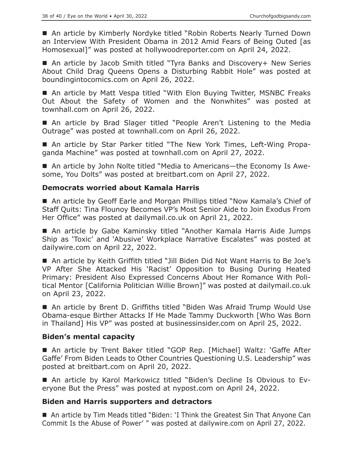■ An article by Kimberly Nordyke titled "Robin Roberts Nearly Turned Down an Interview With President Obama in 2012 Amid Fears of Being Outed [as Homosexual]" was posted at hollywoodreporter.com on April 24, 2022.

■ An article by Jacob Smith titled "Tyra Banks and Discovery+ New Series About Child Drag Queens Opens a Disturbing Rabbit Hole" was posted at boundingintocomics.com on April 26, 2022.

■ An article by Matt Vespa titled "With Elon Buying Twitter, MSNBC Freaks Out About the Safety of Women and the Nonwhites" was posted at townhall.com on April 26, 2022.

■ An article by Brad Slager titled "People Aren't Listening to the Media Outrage" was posted at townhall.com on April 26, 2022.

 An article by Star Parker titled "The New York Times, Left-Wing Propaganda Machine" was posted at townhall.com on April 27, 2022.

■ An article by John Nolte titled "Media to Americans—the Economy Is Awesome, You Dolts" was posted at breitbart.com on April 27, 2022.

# **Democrats worried about Kamala Harris**

■ An article by Geoff Earle and Morgan Phillips titled "Now Kamala's Chief of Staff Quits: Tina Flounoy Becomes VP's Most Senior Aide to Join Exodus From Her Office" was posted at dailymail.co.uk on April 21, 2022.

 An article by Gabe Kaminsky titled "Another Kamala Harris Aide Jumps Ship as 'Toxic' and 'Abusive' Workplace Narrative Escalates" was posted at dailywire.com on April 22, 2022.

■ An article by Keith Griffith titled "Jill Biden Did Not Want Harris to Be Joe's VP After She Attacked His 'Racist' Opposition to Busing During Heated Primary: President Also Expressed Concerns About Her Romance With Political Mentor [California Politician Willie Brown]" was posted at dailymail.co.uk on April 23, 2022.

■ An article by Brent D. Griffiths titled "Biden Was Afraid Trump Would Use Obama-esque Birther Attacks If He Made Tammy Duckworth [Who Was Born in Thailand] His VP" was posted at businessinsider.com on April 25, 2022.

# **Biden's mental capacity**

 An article by Trent Baker titled "GOP Rep. [Michael] Waltz: 'Gaffe After Gaffe' From Biden Leads to Other Countries Questioning U.S. Leadership" was posted at breitbart.com on April 20, 2022.

 An article by Karol Markowicz titled "Biden's Decline Is Obvious to Everyone But the Press" was posted at nypost.com on April 24, 2022.

# **Biden and Harris supporters and detractors**

■ An article by Tim Meads titled "Biden: 'I Think the Greatest Sin That Anyone Can Commit Is the Abuse of Power' " was posted at dailywire.com on April 27, 2022.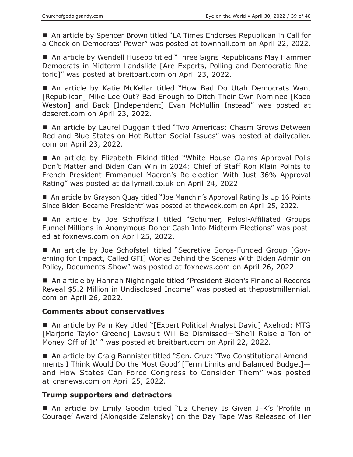■ An article by Spencer Brown titled "LA Times Endorses Republican in Call for a Check on Democrats' Power" was posted at townhall.com on April 22, 2022.

■ An article by Wendell Husebo titled "Three Signs Republicans May Hammer Democrats in Midterm Landslide [Are Experts, Polling and Democratic Rhetoric]" was posted at breitbart.com on April 23, 2022.

■ An article by Katie McKellar titled "How Bad Do Utah Democrats Want [Republican] Mike Lee Out? Bad Enough to Ditch Their Own Nominee [Kaeo Weston] and Back [Independent] Evan McMullin Instead" was posted at deseret.com on April 23, 2022.

■ An article by Laurel Duggan titled "Two Americas: Chasm Grows Between Red and Blue States on Hot-Button Social Issues" was posted at dailycaller. com on April 23, 2022.

■ An article by Elizabeth Elkind titled "White House Claims Approval Polls Don't Matter and Biden Can Win in 2024: Chief of Staff Ron Klain Points to French President Emmanuel Macron's Re-election With Just 36% Approval Rating" was posted at dailymail.co.uk on April 24, 2022.

■ An article by Grayson Quay titled "Joe Manchin's Approval Rating Is Up 16 Points Since Biden Became President" was posted at theweek.com on April 25, 2022.

 An article by Joe Schoffstall titled "Schumer, Pelosi-Affiliated Groups Funnel Millions in Anonymous Donor Cash Into Midterm Elections" was posted at foxnews.com on April 25, 2022.

 An article by Joe Schofstell titled "Secretive Soros-Funded Group [Governing for Impact, Called GFI] Works Behind the Scenes With Biden Admin on Policy, Documents Show" was posted at foxnews.com on April 26, 2022.

■ An article by Hannah Nightingale titled "President Biden's Financial Records Reveal \$5.2 Million in Undisclosed Income" was posted at thepostmillennial. com on April 26, 2022.

# **Comments about conservatives**

■ An article by Pam Key titled "[Expert Political Analyst David] Axelrod: MTG [Marjorie Taylor Greene] Lawsuit Will Be Dismissed—'She'll Raise a Ton of Money Off of It' " was posted at breitbart.com on April 22, 2022.

■ An article by Craig Bannister titled "Sen. Cruz: 'Two Constitutional Amendments I Think Would Do the Most Good' [Term Limits and Balanced Budget] and How States Can Force Congress to Consider Them" was posted at cnsnews.com on April 25, 2022.

# **Trump supporters and detractors**

■ An article by Emily Goodin titled "Liz Cheney Is Given JFK's 'Profile in Courage' Award (Alongside Zelensky) on the Day Tape Was Released of Her